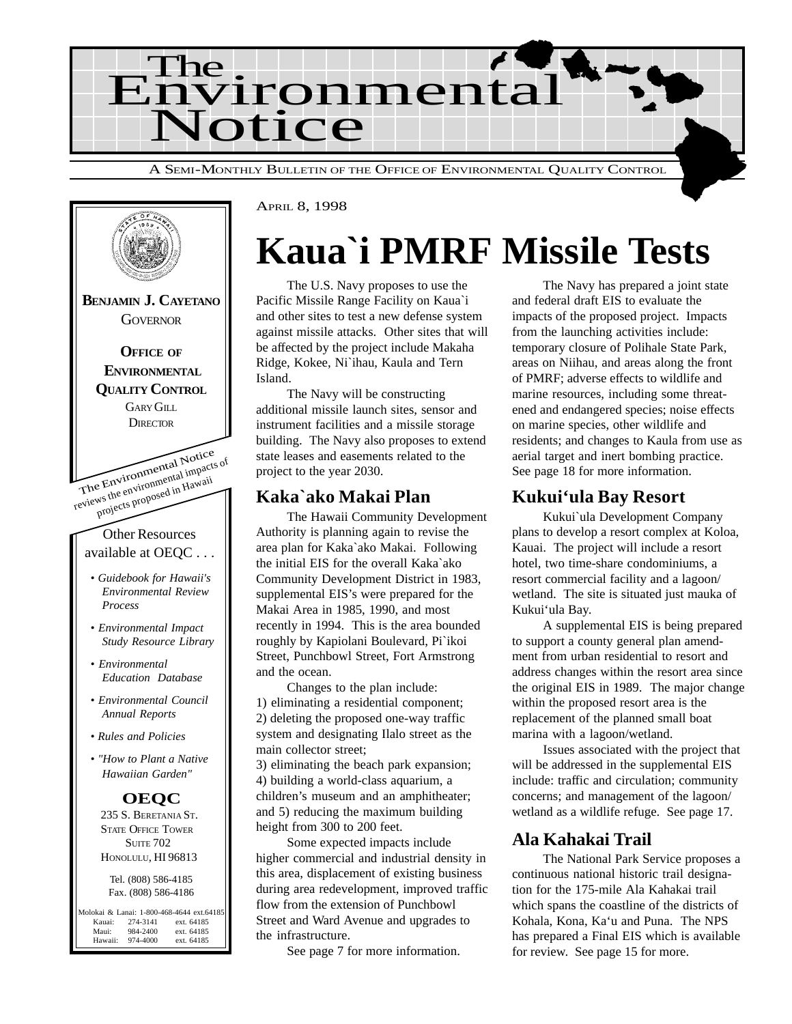



## **Kaua`i PMRF Missile Tests**

The U.S. Navy proposes to use the Pacific Missile Range Facility on Kaua`i and other sites to test a new defense system against missile attacks. Other sites that will be affected by the project include Makaha Ridge, Kokee, Ni`ihau, Kaula and Tern Island.

The Navy will be constructing additional missile launch sites, sensor and instrument facilities and a missile storage building. The Navy also proposes to extend state leases and easements related to the project to the year 2030.

### **Kaka`ako Makai Plan**

The Hawaii Community Development Authority is planning again to revise the area plan for Kaka`ako Makai. Following the initial EIS for the overall Kaka`ako Community Development District in 1983, supplemental EIS's were prepared for the Makai Area in 1985, 1990, and most recently in 1994. This is the area bounded roughly by Kapiolani Boulevard, Pi`ikoi Street, Punchbowl Street, Fort Armstrong and the ocean.

Changes to the plan include: 1) eliminating a residential component; 2) deleting the proposed one-way traffic system and designating Ilalo street as the main collector street;

3) eliminating the beach park expansion; 4) building a world-class aquarium, a children's museum and an amphitheater; and 5) reducing the maximum building height from 300 to 200 feet.

Some expected impacts include higher commercial and industrial density in this area, displacement of existing business during area redevelopment, improved traffic flow from the extension of Punchbowl Street and Ward Avenue and upgrades to the infrastructure.

See page 7 for more information.

The Navy has prepared a joint state and federal draft EIS to evaluate the impacts of the proposed project. Impacts from the launching activities include: temporary closure of Polihale State Park, areas on Niihau, and areas along the front of PMRF; adverse effects to wildlife and marine resources, including some threatened and endangered species; noise effects on marine species, other wildlife and residents; and changes to Kaula from use as aerial target and inert bombing practice. See page 18 for more information.

### **Kukui'ula Bay Resort**

Kukui`ula Development Company plans to develop a resort complex at Koloa, Kauai. The project will include a resort hotel, two time-share condominiums, a resort commercial facility and a lagoon/ wetland. The site is situated just mauka of Kukui'ula Bay.

A supplemental EIS is being prepared to support a county general plan amendment from urban residential to resort and address changes within the resort area since the original EIS in 1989. The major change within the proposed resort area is the replacement of the planned small boat marina with a lagoon/wetland.

Issues associated with the project that will be addressed in the supplemental EIS include: traffic and circulation; community concerns; and management of the lagoon/ wetland as a wildlife refuge. See page 17.

### **Ala Kahakai Trail**

The National Park Service proposes a continuous national historic trail designation for the 175-mile Ala Kahakai trail which spans the coastline of the districts of Kohala, Kona, Ka'u and Puna. The NPS has prepared a Final EIS which is available for review. See page 15 for more.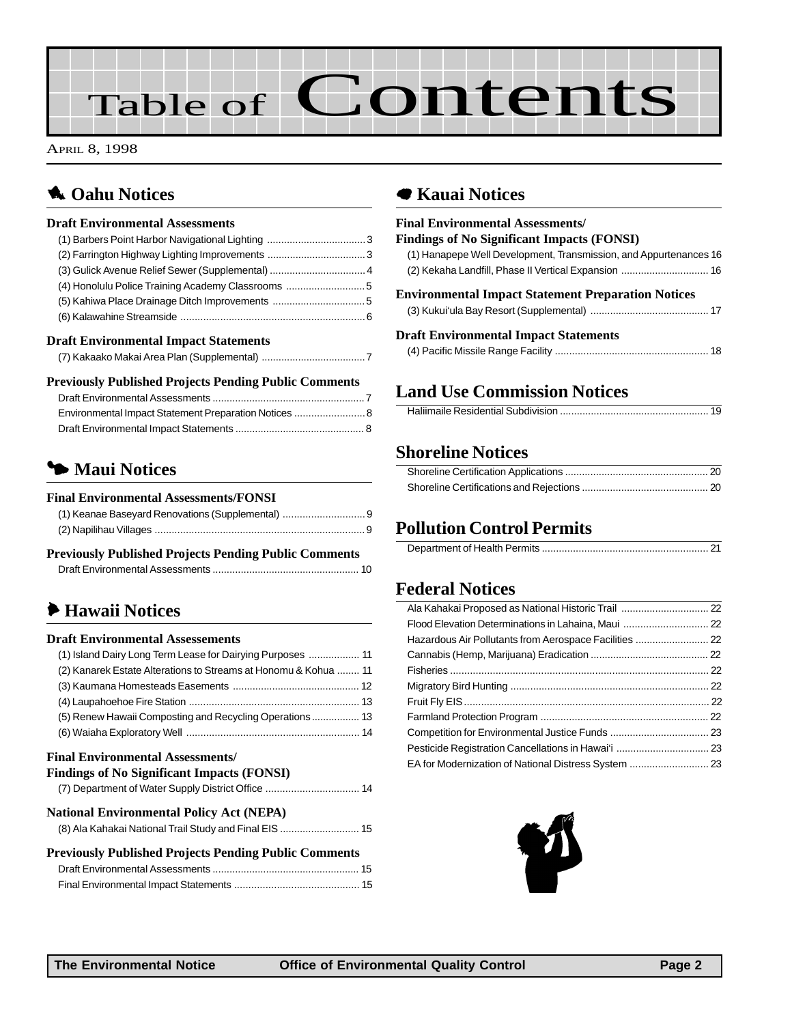# Table of Contents

APRIL 8, 1998

### **1** Oahu Notices

#### **Draft Environmental Assessments**

| (4) Honolulu Police Training Academy Classrooms 5 |  |
|---------------------------------------------------|--|
|                                                   |  |
|                                                   |  |
| <b>Draft Environmental Impact Statements</b>      |  |
|                                                   |  |

### **Previously Published Projects Pending Public Comments**

| Environmental Impact Statement Preparation Notices  8 |  |
|-------------------------------------------------------|--|
|                                                       |  |

### 3 **Maui Notices**

#### **Final Environmental Assessments/FONSI**

#### **Previously Published Projects Pending Public Comments** [Draft Environmental Assessments .................................................... 10](#page-9-0)

### 6 **[Hawaii Notices](#page-10-0)**

#### **Draft Environmental Assessements**

| (1) Island Dairy Long Term Lease for Dairying Purposes  11      |  |
|-----------------------------------------------------------------|--|
| (2) Kanarek Estate Alterations to Streams at Honomu & Kohua  11 |  |
|                                                                 |  |
|                                                                 |  |
| (5) Renew Hawaii Composting and Recycling Operations 13         |  |
|                                                                 |  |

#### **Final Environmental Assessments/**

| <b>Findings of No Significant Impacts (FONSI)</b>            |
|--------------------------------------------------------------|
|                                                              |
| <b>National Environmental Policy Act (NEPA)</b>              |
| (8) Ala Kahakai National Trail Study and Final EIS  15       |
| <b>Previously Published Projects Pending Public Comments</b> |
|                                                              |
|                                                              |

### 7 **Kauai Notices**

| <b>Final Environmental Assessments/</b>                           |
|-------------------------------------------------------------------|
| <b>Findings of No Significant Impacts (FONSI)</b>                 |
| (1) Hanapepe Well Development, Transmission, and Appurtenances 16 |
| (2) Kekaha Landfill, Phase II Vertical Expansion  16              |
| <b>Environmental Impact Statement Preparation Notices</b>         |
|                                                                   |
| <b>Draft Environmental Impact Statements</b>                      |
|                                                                   |

### **Land Use Commission Notices**

|--|

### **[Shoreline Notices](#page-19-0)**

### **Pollution Control Permits**

### **Federal Notices**

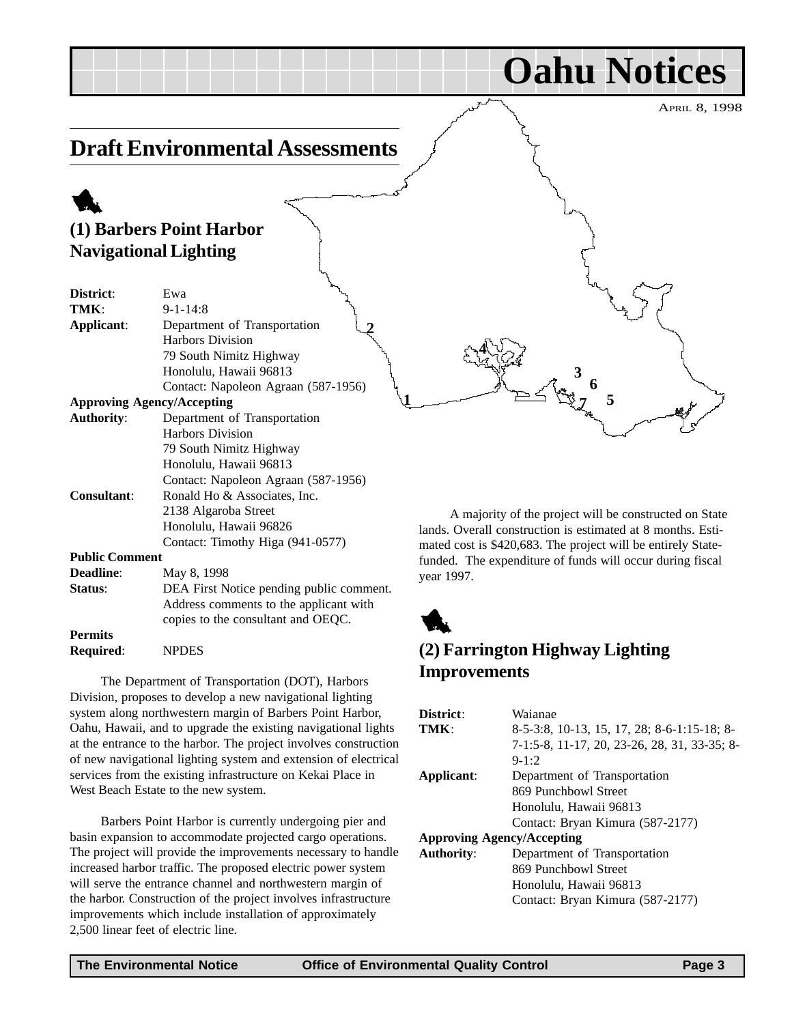#### <span id="page-2-0"></span>APRIL 8, 1998 **Oahu Notices Draft Environmental Assessments** 1 **(1) Barbers Point Harbor Navigational Lighting District**: Ewa **TMK**: 9-1-14:8 **Applicant**: Department of Transportation Harbors Division 79 South Nimitz Highway Honolulu, Hawaii 96813 Contact: Napoleon Agraan (587-1956) **Approving Agency/Accepting Authority**: Department of Transportation Harbors Division 79 South Nimitz Highway Honolulu, Hawaii 96813 Contact: Napoleon Agraan (587-1956) **Consultant**: Ronald Ho & Associates, Inc. 2138 Algaroba Street Honolulu, Hawaii 96826 Contact: Timothy Higa (941-0577) **Public Comment Deadline**: May 8, 1998 **Status:** DEA First Notice pending public comment. Address comments to the applicant with copies to the consultant and OEQC. **Permits** A majority of the project will be constructed on State lands. Overall construction is estimated at 8 months. Estimated cost is \$420,683. The project will be entirely Statefunded. The expenditure of funds will occur during fiscal year 1997. 1 **1 2 4 5 6 7 3**

**Required**: NPDES

The Department of Transportation (DOT), Harbors Division, proposes to develop a new navigational lighting system along northwestern margin of Barbers Point Harbor, Oahu, Hawaii, and to upgrade the existing navigational lights at the entrance to the harbor. The project involves construction of new navigational lighting system and extension of electrical services from the existing infrastructure on Kekai Place in West Beach Estate to the new system.

Barbers Point Harbor is currently undergoing pier and basin expansion to accommodate projected cargo operations. The project will provide the improvements necessary to handle increased harbor traffic. The proposed electric power system will serve the entrance channel and northwestern margin of the harbor. Construction of the project involves infrastructure improvements which include installation of approximately 2,500 linear feet of electric line.

**(2) Farrington Highway Lighting Improvements**

| District:                         | Waianae                                      |  |
|-----------------------------------|----------------------------------------------|--|
| TMK:                              | 8-5-3:8, 10-13, 15, 17, 28; 8-6-1:15-18; 8-  |  |
|                                   | 7-1:5-8, 11-17, 20, 23-26, 28, 31, 33-35; 8- |  |
|                                   | $9 - 1:2$                                    |  |
| Applicant:                        | Department of Transportation                 |  |
|                                   | 869 Punchbowl Street                         |  |
|                                   | Honolulu, Hawaii 96813                       |  |
|                                   | Contact: Bryan Kimura (587-2177)             |  |
| <b>Approving Agency/Accepting</b> |                                              |  |
| <b>Authority:</b>                 | Department of Transportation                 |  |
|                                   | 869 Punchbowl Street                         |  |
|                                   | Honolulu, Hawaii 96813                       |  |
|                                   | Contact: Bryan Kimura (587-2177)             |  |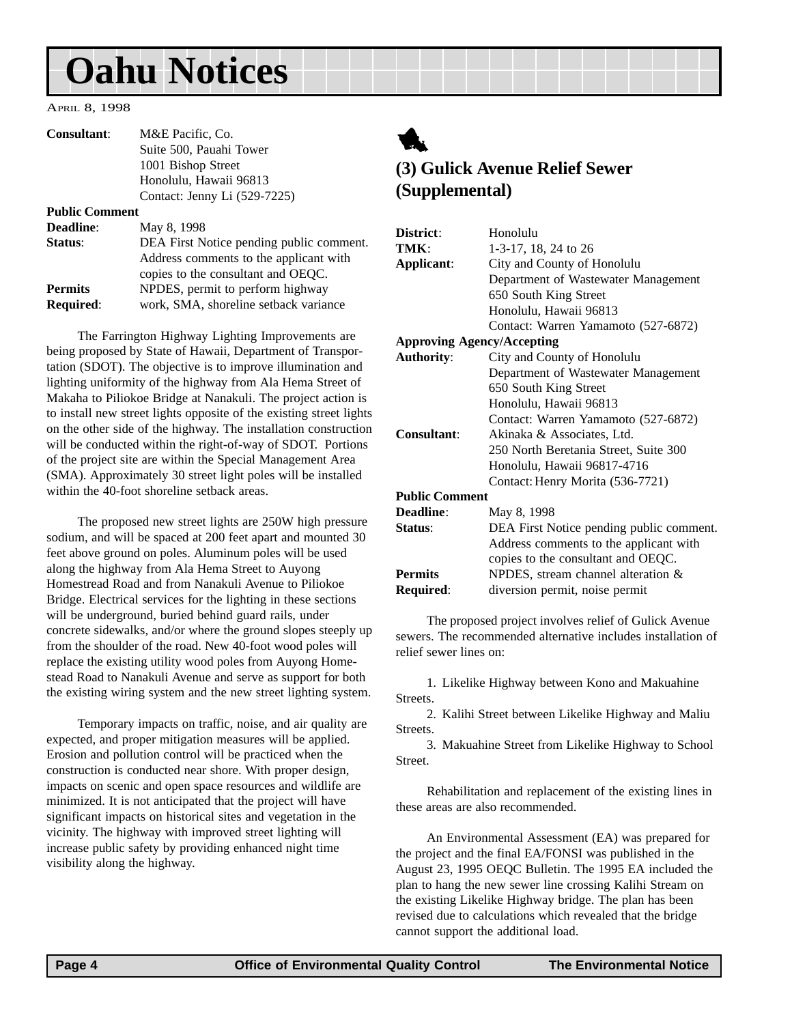## <span id="page-3-0"></span>**Oahu Notices**

APRIL 8, 1998

| <b>Consultant:</b>    | M&E Pacific, Co.             |
|-----------------------|------------------------------|
|                       | Suite 500, Pauahi Tower      |
|                       | 1001 Bishop Street           |
|                       | Honolulu, Hawaii 96813       |
|                       | Contact: Jenny Li (529-7225) |
| <b>Public Comment</b> |                              |

| <b>Deadline:</b> | May 8, 1998                              |
|------------------|------------------------------------------|
| Status:          | DEA First Notice pending public comment. |
|                  | Address comments to the applicant with   |
|                  | copies to the consultant and OEQC.       |
| <b>Permits</b>   | NPDES, permit to perform highway         |
| <b>Required:</b> | work, SMA, shoreline setback variance    |

The Farrington Highway Lighting Improvements are being proposed by State of Hawaii, Department of Transportation (SDOT). The objective is to improve illumination and lighting uniformity of the highway from Ala Hema Street of Makaha to Piliokoe Bridge at Nanakuli. The project action is to install new street lights opposite of the existing street lights on the other side of the highway. The installation construction will be conducted within the right-of-way of SDOT. Portions of the project site are within the Special Management Area (SMA). Approximately 30 street light poles will be installed within the 40-foot shoreline setback areas.

The proposed new street lights are 250W high pressure sodium, and will be spaced at 200 feet apart and mounted 30 feet above ground on poles. Aluminum poles will be used along the highway from Ala Hema Street to Auyong Homestread Road and from Nanakuli Avenue to Piliokoe Bridge. Electrical services for the lighting in these sections will be underground, buried behind guard rails, under concrete sidewalks, and/or where the ground slopes steeply up from the shoulder of the road. New 40-foot wood poles will replace the existing utility wood poles from Auyong Homestead Road to Nanakuli Avenue and serve as support for both the existing wiring system and the new street lighting system.

Temporary impacts on traffic, noise, and air quality are expected, and proper mitigation measures will be applied. Erosion and pollution control will be practiced when the construction is conducted near shore. With proper design, impacts on scenic and open space resources and wildlife are minimized. It is not anticipated that the project will have significant impacts on historical sites and vegetation in the vicinity. The highway with improved street lighting will increase public safety by providing enhanced night time visibility along the highway.



### **(3) Gulick Avenue Relief Sewer (Supplemental)**

| District:                         | Honolulu                                 |
|-----------------------------------|------------------------------------------|
| TMK:                              | 1-3-17, 18, 24 to 26                     |
| Applicant:                        | City and County of Honolulu              |
|                                   | Department of Wastewater Management      |
|                                   | 650 South King Street                    |
|                                   | Honolulu, Hawaii 96813                   |
|                                   | Contact: Warren Yamamoto (527-6872)      |
| <b>Approving Agency/Accepting</b> |                                          |
| <b>Authority:</b>                 | City and County of Honolulu              |
|                                   | Department of Wastewater Management      |
|                                   | 650 South King Street                    |
|                                   | Honolulu, Hawaii 96813                   |
|                                   | Contact: Warren Yamamoto (527-6872)      |
| <b>Consultant:</b>                | Akinaka & Associates, Ltd.               |
|                                   | 250 North Beretania Street, Suite 300    |
|                                   | Honolulu, Hawaii 96817-4716              |
|                                   | Contact: Henry Morita (536-7721)         |
| <b>Public Comment</b>             |                                          |
| Deadline:                         | May 8, 1998                              |
| Status:                           | DEA First Notice pending public comment. |
|                                   | Address comments to the applicant with   |
|                                   | copies to the consultant and OEQC.       |
| <b>Permits</b>                    | NPDES, stream channel alteration &       |
| Required:                         | diversion permit, noise permit           |

The proposed project involves relief of Gulick Avenue sewers. The recommended alternative includes installation of relief sewer lines on:

1. Likelike Highway between Kono and Makuahine Streets.

2. Kalihi Street between Likelike Highway and Maliu Streets.

3. Makuahine Street from Likelike Highway to School Street.

Rehabilitation and replacement of the existing lines in these areas are also recommended.

An Environmental Assessment (EA) was prepared for the project and the final EA/FONSI was published in the August 23, 1995 OEQC Bulletin. The 1995 EA included the plan to hang the new sewer line crossing Kalihi Stream on the existing Likelike Highway bridge. The plan has been revised due to calculations which revealed that the bridge cannot support the additional load.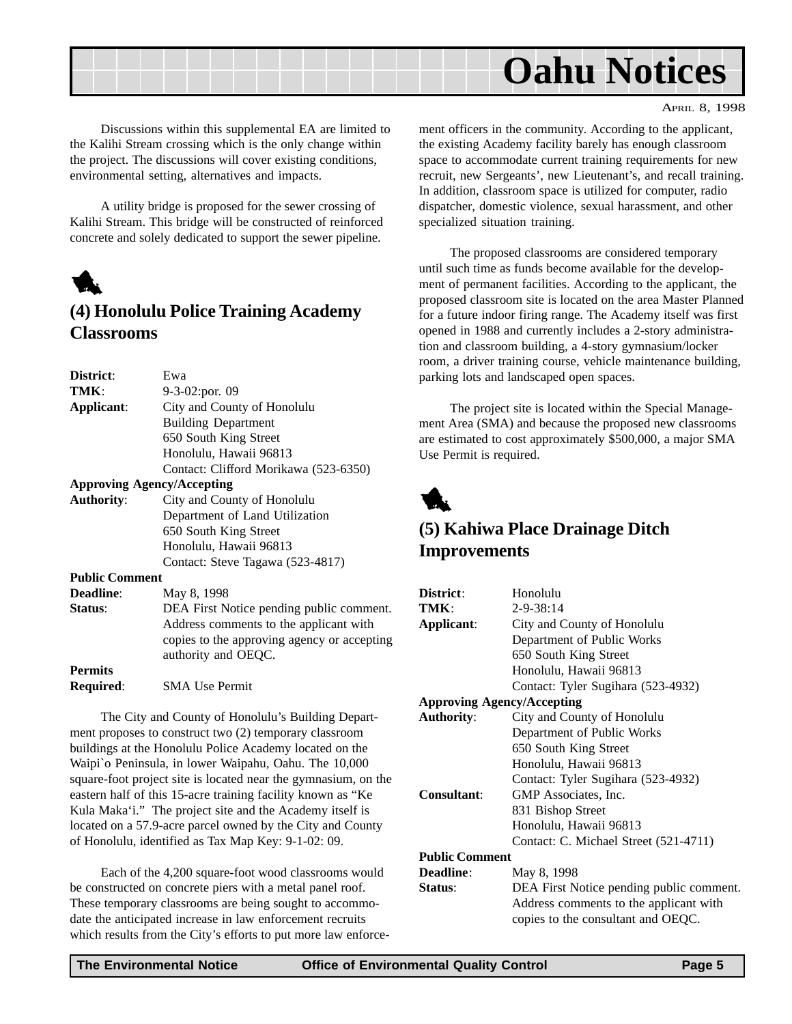<span id="page-4-0"></span>

Discussions within this supplemental EA are limited to the Kalihi Stream crossing which is the only change within the project. The discussions will cover existing conditions, environmental setting, alternatives and impacts.

A utility bridge is proposed for the sewer crossing of Kalihi Stream. This bridge will be constructed of reinforced concrete and solely dedicated to support the sewer pipeline.



### **(4) Honolulu Police Training Academy Classrooms**

| District:             | Ewa                                         |
|-----------------------|---------------------------------------------|
| TMK:                  | $9-3-02$ : por. 09                          |
| Applicant:            | City and County of Honolulu                 |
|                       | <b>Building Department</b>                  |
|                       | 650 South King Street                       |
|                       | Honolulu, Hawaii 96813                      |
|                       | Contact: Clifford Morikawa (523-6350)       |
|                       | <b>Approving Agency/Accepting</b>           |
| <b>Authority:</b>     | City and County of Honolulu                 |
|                       | Department of Land Utilization              |
|                       | 650 South King Street                       |
|                       | Honolulu, Hawaii 96813                      |
|                       | Contact: Steve Tagawa (523-4817)            |
| <b>Public Comment</b> |                                             |
| <b>Deadline:</b>      | May 8, 1998                                 |
| Status:               | DEA First Notice pending public comment.    |
|                       | Address comments to the applicant with      |
|                       | copies to the approving agency or accepting |
|                       | authority and OEQC.                         |
| <b>Permits</b>        |                                             |
| <b>Required:</b>      | <b>SMA Use Permit</b>                       |
|                       |                                             |

The City and County of Honolulu's Building Department proposes to construct two (2) temporary classroom buildings at the Honolulu Police Academy located on the Waipi`o Peninsula, in lower Waipahu, Oahu. The 10,000 square-foot project site is located near the gymnasium, on the eastern half of this 15-acre training facility known as "Ke Kula Maka'i." The project site and the Academy itself is located on a 57.9-acre parcel owned by the City and County of Honolulu, identified as Tax Map Key: 9-1-02: 09.

Each of the 4,200 square-foot wood classrooms would be constructed on concrete piers with a metal panel roof. These temporary classrooms are being sought to accommodate the anticipated increase in law enforcement recruits which results from the City's efforts to put more law enforcement officers in the community. According to the applicant, the existing Academy facility barely has enough classroom space to accommodate current training requirements for new recruit, new Sergeants', new Lieutenant's, and recall training. In addition, classroom space is utilized for computer, radio dispatcher, domestic violence, sexual harassment, and other specialized situation training.

The proposed classrooms are considered temporary until such time as funds become available for the development of permanent facilities. According to the applicant, the proposed classroom site is located on the area Master Planned for a future indoor firing range. The Academy itself was first opened in 1988 and currently includes a 2-story administration and classroom building, a 4-story gymnasium/locker room, a driver training course, vehicle maintenance building, parking lots and landscaped open spaces.

The project site is located within the Special Management Area (SMA) and because the proposed new classrooms are estimated to cost approximately \$500,000, a major SMA Use Permit is required.



### **(5) Kahiwa Place Drainage Ditch Improvements**

| District:             | Honolulu                                 |
|-----------------------|------------------------------------------|
| TMK:                  | $2 - 9 - 38:14$                          |
| Applicant:            | City and County of Honolulu              |
|                       | Department of Public Works               |
|                       | 650 South King Street                    |
|                       | Honolulu, Hawaii 96813                   |
|                       | Contact: Tyler Sugihara (523-4932)       |
|                       | <b>Approving Agency/Accepting</b>        |
| <b>Authority:</b>     | City and County of Honolulu              |
|                       | Department of Public Works               |
|                       | 650 South King Street                    |
|                       | Honolulu, Hawaii 96813                   |
|                       | Contact: Tyler Sugihara (523-4932)       |
| <b>Consultant:</b>    | GMP Associates, Inc.                     |
|                       | 831 Bishop Street                        |
|                       | Honolulu, Hawaii 96813                   |
|                       | Contact: C. Michael Street (521-4711)    |
| <b>Public Comment</b> |                                          |
| <b>Deadline:</b>      | May 8, 1998                              |
| Status:               | DEA First Notice pending public comment. |
|                       | Address comments to the applicant with   |
|                       | copies to the consultant and OEQC.       |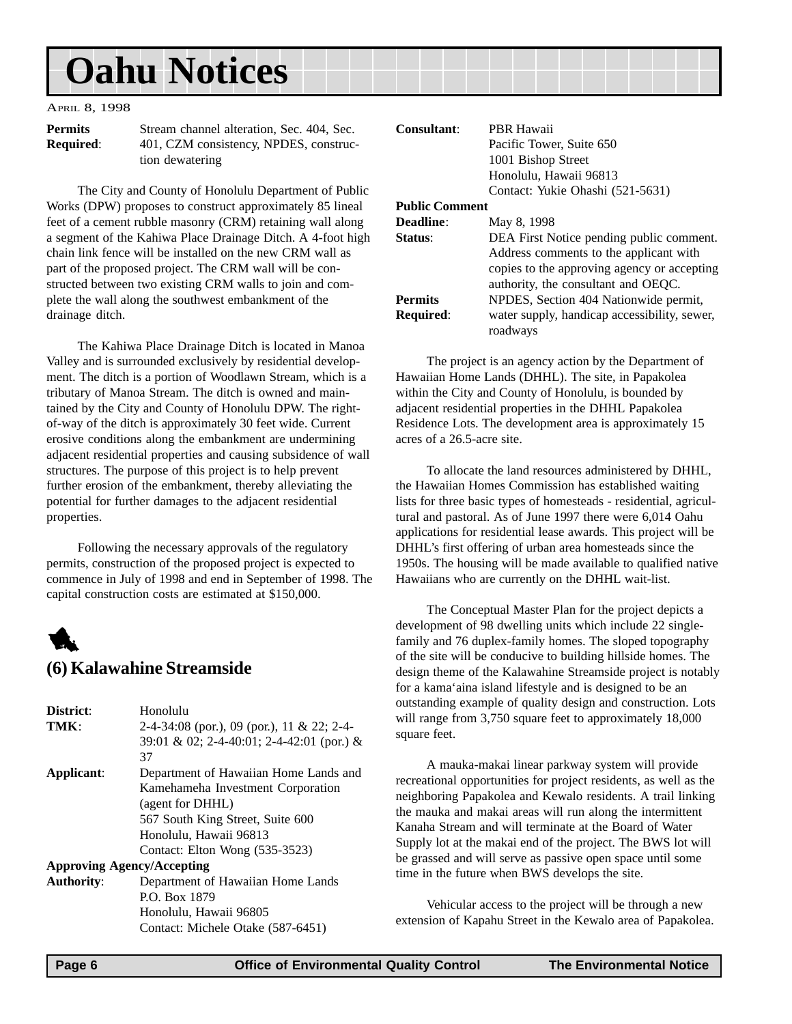## <span id="page-5-0"></span>**Oahu Notices**

#### APRIL 8, 1998

**Permits** Stream channel alteration, Sec. 404, Sec. **Required:** 401, CZM consistency, NPDES, construction dewatering

The City and County of Honolulu Department of Public Works (DPW) proposes to construct approximately 85 lineal feet of a cement rubble masonry (CRM) retaining wall along a segment of the Kahiwa Place Drainage Ditch. A 4-foot high chain link fence will be installed on the new CRM wall as part of the proposed project. The CRM wall will be constructed between two existing CRM walls to join and complete the wall along the southwest embankment of the drainage ditch.

The Kahiwa Place Drainage Ditch is located in Manoa Valley and is surrounded exclusively by residential development. The ditch is a portion of Woodlawn Stream, which is a tributary of Manoa Stream. The ditch is owned and maintained by the City and County of Honolulu DPW. The rightof-way of the ditch is approximately 30 feet wide. Current erosive conditions along the embankment are undermining adjacent residential properties and causing subsidence of wall structures. The purpose of this project is to help prevent further erosion of the embankment, thereby alleviating the potential for further damages to the adjacent residential properties.

Following the necessary approvals of the regulatory permits, construction of the proposed project is expected to commence in July of 1998 and end in September of 1998. The capital construction costs are estimated at \$150,000.

### 1 **(6) Kalawahine Streamside**

| District:         | Honolulu                                   |
|-------------------|--------------------------------------------|
| TMK:              | 2-4-34:08 (por.), 09 (por.), 11 & 22; 2-4- |
|                   | 39:01 & 02; 2-4-40:01; 2-4-42:01 (por.) &  |
|                   | 37                                         |
| Applicant:        | Department of Hawaiian Home Lands and      |
|                   | Kamehameha Investment Corporation          |
|                   | (agent for DHHL)                           |
|                   | 567 South King Street, Suite 600           |
|                   | Honolulu, Hawaii 96813                     |
|                   | Contact: Elton Wong (535-3523)             |
|                   | <b>Approving Agency/Accepting</b>          |
| <b>Authority:</b> | Department of Hawaiian Home Lands          |
|                   | P.O. Box 1879                              |

Honolulu, Hawaii 96805

Contact: Michele Otake (587-6451)

| <b>Consultant:</b>    | PBR Hawaii                                   |
|-----------------------|----------------------------------------------|
|                       | Pacific Tower, Suite 650                     |
|                       | 1001 Bishop Street                           |
|                       | Honolulu, Hawaii 96813                       |
|                       | Contact: Yukie Ohashi (521-5631)             |
| <b>Public Comment</b> |                                              |
| <b>Deadline:</b>      | May 8, 1998                                  |
| <b>Status:</b>        | DEA First Notice pending public comment.     |
|                       | Address comments to the applicant with       |
|                       | copies to the approving agency or accepting  |
|                       | authority, the consultant and OEQC.          |
| <b>Permits</b>        | NPDES, Section 404 Nationwide permit,        |
| <b>Required:</b>      | water supply, handicap accessibility, sewer, |

roadways

The project is an agency action by the Department of Hawaiian Home Lands (DHHL). The site, in Papakolea within the City and County of Honolulu, is bounded by adjacent residential properties in the DHHL Papakolea Residence Lots. The development area is approximately 15 acres of a 26.5-acre site.

To allocate the land resources administered by DHHL, the Hawaiian Homes Commission has established waiting lists for three basic types of homesteads - residential, agricultural and pastoral. As of June 1997 there were 6,014 Oahu applications for residential lease awards. This project will be DHHL's first offering of urban area homesteads since the 1950s. The housing will be made available to qualified native Hawaiians who are currently on the DHHL wait-list.

The Conceptual Master Plan for the project depicts a development of 98 dwelling units which include 22 singlefamily and 76 duplex-family homes. The sloped topography of the site will be conducive to building hillside homes. The design theme of the Kalawahine Streamside project is notably for a kama'aina island lifestyle and is designed to be an outstanding example of quality design and construction. Lots will range from 3,750 square feet to approximately 18,000 square feet.

A mauka-makai linear parkway system will provide recreational opportunities for project residents, as well as the neighboring Papakolea and Kewalo residents. A trail linking the mauka and makai areas will run along the intermittent Kanaha Stream and will terminate at the Board of Water Supply lot at the makai end of the project. The BWS lot will be grassed and will serve as passive open space until some time in the future when BWS develops the site.

Vehicular access to the project will be through a new extension of Kapahu Street in the Kewalo area of Papakolea.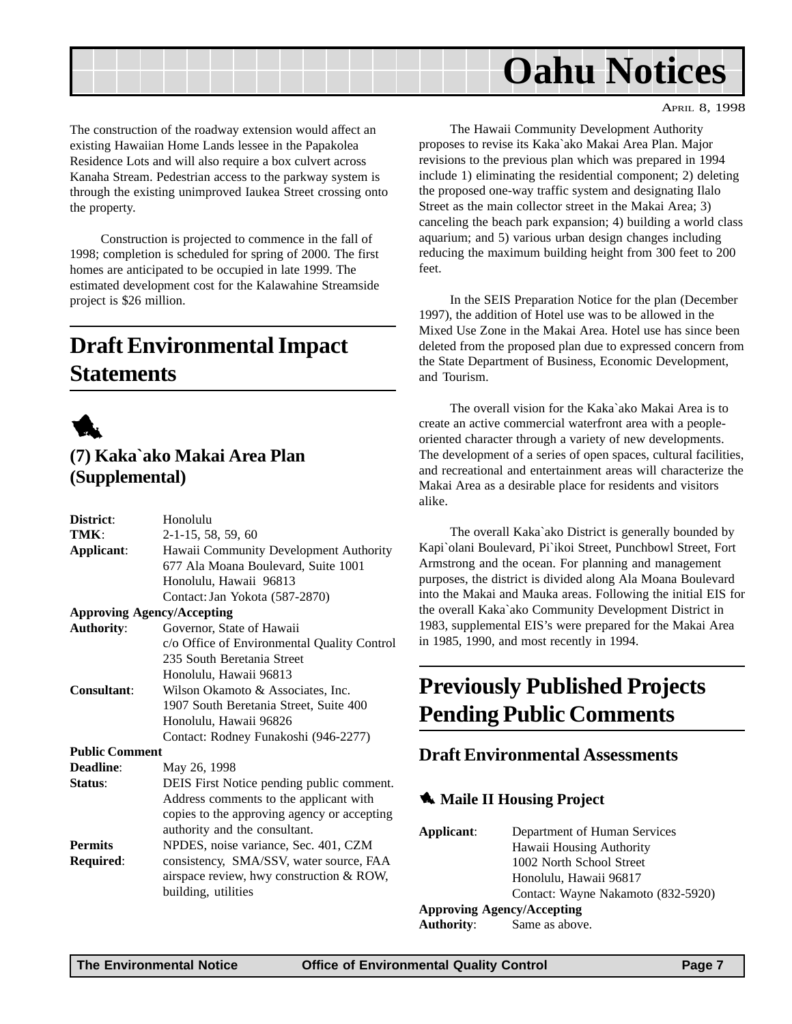<span id="page-6-0"></span>

The construction of the roadway extension would affect an existing Hawaiian Home Lands lessee in the Papakolea Residence Lots and will also require a box culvert across Kanaha Stream. Pedestrian access to the parkway system is through the existing unimproved Iaukea Street crossing onto the property.

Construction is projected to commence in the fall of 1998; completion is scheduled for spring of 2000. The first homes are anticipated to be occupied in late 1999. The estimated development cost for the Kalawahine Streamside project is \$26 million.

## **Draft Environmental Impact Statements**



### **(7) Kaka`ako Makai Area Plan (Supplemental)**

| District:                         | Honolulu                                    |
|-----------------------------------|---------------------------------------------|
| TMK:                              | 2-1-15, 58, 59, 60                          |
| Applicant:                        | Hawaii Community Development Authority      |
|                                   | 677 Ala Moana Boulevard, Suite 1001         |
|                                   | Honolulu, Hawaii 96813                      |
|                                   | Contact: Jan Yokota (587-2870)              |
| <b>Approving Agency/Accepting</b> |                                             |
| <b>Authority:</b>                 | Governor, State of Hawaii                   |
|                                   | c/o Office of Environmental Quality Control |
|                                   | 235 South Beretania Street                  |
|                                   | Honolulu, Hawaii 96813                      |
| Consultant:                       | Wilson Okamoto & Associates, Inc.           |
|                                   | 1907 South Beretania Street, Suite 400      |
|                                   | Honolulu, Hawaii 96826                      |
|                                   | Contact: Rodney Funakoshi (946-2277)        |
| <b>Public Comment</b>             |                                             |
| Deadline:                         | May 26, 1998                                |
| Status:                           | DEIS First Notice pending public comment.   |
|                                   | Address comments to the applicant with      |
|                                   | copies to the approving agency or accepting |
|                                   | authority and the consultant.               |
| <b>Permits</b>                    | NPDES, noise variance, Sec. 401, CZM        |
| Required:                         | consistency, SMA/SSV, water source, FAA     |
|                                   | airspace review, hwy construction & ROW,    |
|                                   | building, utilities                         |
|                                   |                                             |

The Hawaii Community Development Authority proposes to revise its Kaka`ako Makai Area Plan. Major revisions to the previous plan which was prepared in 1994 include 1) eliminating the residential component; 2) deleting the proposed one-way traffic system and designating Ilalo Street as the main collector street in the Makai Area; 3) canceling the beach park expansion; 4) building a world class aquarium; and 5) various urban design changes including reducing the maximum building height from 300 feet to 200 feet.

In the SEIS Preparation Notice for the plan (December 1997), the addition of Hotel use was to be allowed in the Mixed Use Zone in the Makai Area. Hotel use has since been deleted from the proposed plan due to expressed concern from the State Department of Business, Economic Development, and Tourism.

The overall vision for the Kaka`ako Makai Area is to create an active commercial waterfront area with a peopleoriented character through a variety of new developments. The development of a series of open spaces, cultural facilities, and recreational and entertainment areas will characterize the Makai Area as a desirable place for residents and visitors alike.

The overall Kaka`ako District is generally bounded by Kapi`olani Boulevard, Pi`ikoi Street, Punchbowl Street, Fort Armstrong and the ocean. For planning and management purposes, the district is divided along Ala Moana Boulevard into the Makai and Mauka areas. Following the initial EIS for the overall Kaka`ako Community Development District in 1983, supplemental EIS's were prepared for the Makai Area in 1985, 1990, and most recently in 1994.

## **Previously Published Projects Pending Public Comments**

### **Draft Environmental Assessments**

### **1** Maile II Housing Project

| Applicant:        | Department of Human Services       |
|-------------------|------------------------------------|
|                   | Hawaii Housing Authority           |
|                   | 1002 North School Street           |
|                   | Honolulu, Hawaii 96817             |
|                   | Contact: Wayne Nakamoto (832-5920) |
|                   | <b>Approving Agency/Accepting</b>  |
| <b>Authority:</b> | Same as above.                     |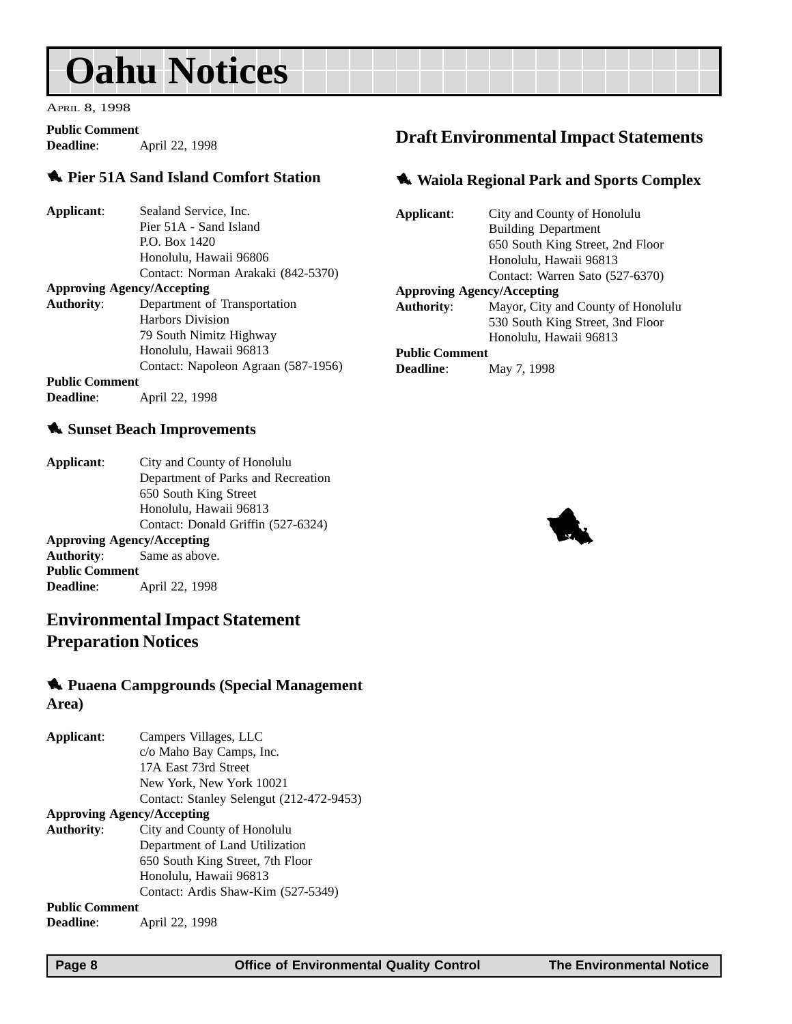## <span id="page-7-0"></span>**Oahu Notices**

APRIL 8, 1998

#### **Public Comment**

**Deadline**: April 22, 1998

### 1 **Pier 51A Sand Island Comfort Station**

| Applicant:                        | Sealand Service, Inc.               |  |
|-----------------------------------|-------------------------------------|--|
|                                   | Pier 51A - Sand Island              |  |
|                                   | P.O. Box 1420                       |  |
|                                   | Honolulu, Hawaii 96806              |  |
|                                   | Contact: Norman Arakaki (842-5370)  |  |
| <b>Approving Agency/Accepting</b> |                                     |  |
| <b>Authority:</b>                 | Department of Transportation        |  |
|                                   | <b>Harbors Division</b>             |  |
|                                   | 79 South Nimitz Highway             |  |
|                                   | Honolulu, Hawaii 96813              |  |
|                                   | Contact: Napoleon Agraan (587-1956) |  |
| <b>Public Comment</b>             |                                     |  |

**Deadline**: **April 22, 1998** 

### 1 **Sunset Beach Improvements**

| Applicant: | City and County of Honolulu        |
|------------|------------------------------------|
|            | Department of Parks and Recreation |
|            | 650 South King Street              |
|            | Honolulu, Hawaii 96813             |
|            | Contact: Donald Griffin (527-6324) |
|            |                                    |

### **Approving Agency/Accepting**

**Authority**: Same as above. **Public Comment Deadline**: April 22, 1998

### **Environmental Impact Statement Preparation Notices**

### 1 **Puaena Campgrounds (Special Management Area)**

| Applicant:            | Campers Villages, LLC                    |
|-----------------------|------------------------------------------|
|                       | c/o Maho Bay Camps, Inc.                 |
|                       | 17A East 73rd Street                     |
|                       | New York, New York 10021                 |
|                       | Contact: Stanley Selengut (212-472-9453) |
|                       | <b>Approving Agency/Accepting</b>        |
| Authority:            | City and County of Honolulu              |
|                       | Department of Land Utilization           |
|                       | 650 South King Street, 7th Floor         |
|                       | Honolulu, Hawaii 96813                   |
|                       | Contact: Ardis Shaw-Kim (527-5349)       |
| <b>Public Comment</b> |                                          |
| <b>Deadline:</b>      | April 22, 1998                           |

### **Draft Environmental Impact Statements**

#### 1 **Waiola Regional Park and Sports Complex**

| Applicant:            | City and County of Honolulu        |
|-----------------------|------------------------------------|
|                       | <b>Building Department</b>         |
|                       | 650 South King Street, 2nd Floor   |
|                       | Honolulu, Hawaii 96813             |
|                       | Contact: Warren Sato (527-6370)    |
|                       | <b>Approving Agency/Accepting</b>  |
| <b>Authority:</b>     | Mayor, City and County of Honolulu |
|                       | 530 South King Street, 3nd Floor   |
|                       | Honolulu, Hawaii 96813             |
| <b>Public Comment</b> |                                    |
| Deadline:             | May 7, 1998                        |

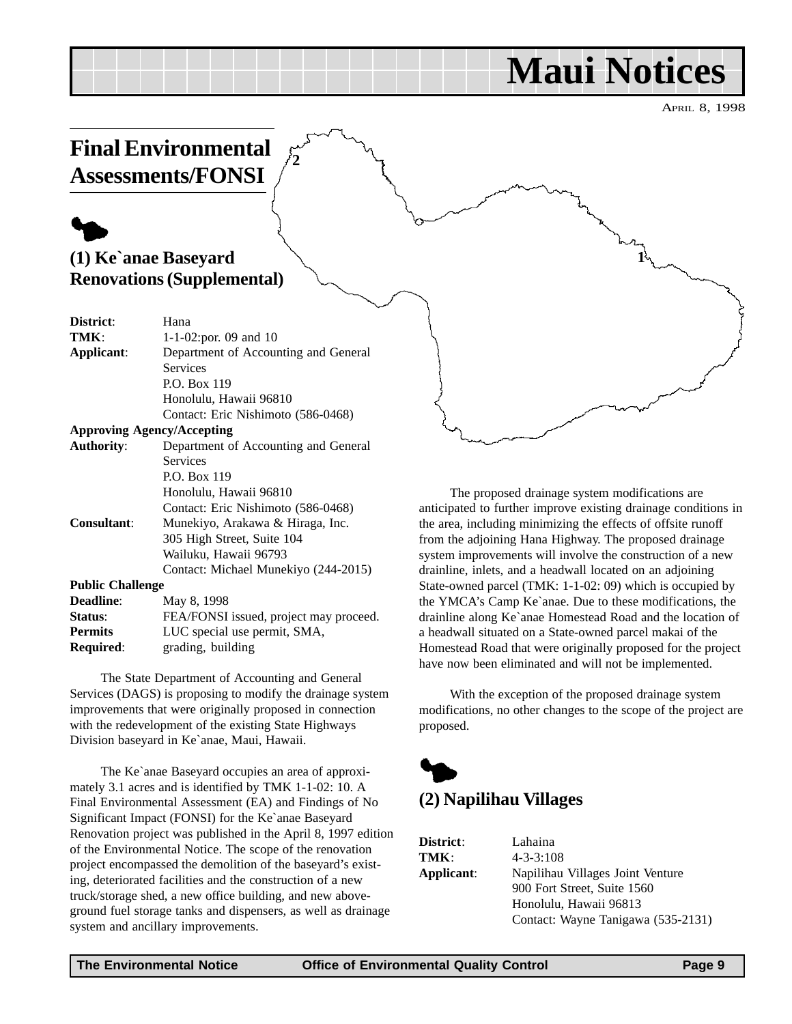## **Maui Notices**

**1**

APRIL 8, 1998

### <span id="page-8-0"></span>**Final Environmental Assessments/FONSI**

**2**

### $\blacklozenge$ **(1) Ke`anae Baseyard Renovations (Supplemental)**

| District:               | Hana                                   |
|-------------------------|----------------------------------------|
| TMK:                    | 1-1-02:por. 09 and 10                  |
| Applicant:              | Department of Accounting and General   |
|                         | Services                               |
|                         | P.O. Box 119                           |
|                         | Honolulu, Hawaii 96810                 |
|                         | Contact: Eric Nishimoto (586-0468)     |
|                         | <b>Approving Agency/Accepting</b>      |
| <b>Authority:</b>       | Department of Accounting and General   |
|                         | <b>Services</b>                        |
|                         | P.O. Box 119                           |
|                         | Honolulu, Hawaii 96810                 |
|                         | Contact: Eric Nishimoto (586-0468)     |
| <b>Consultant:</b>      | Munekiyo, Arakawa & Hiraga, Inc.       |
|                         | 305 High Street, Suite 104             |
|                         | Wailuku, Hawaii 96793                  |
|                         | Contact: Michael Munekiyo (244-2015)   |
| <b>Public Challenge</b> |                                        |
| <b>Deadline:</b>        | May 8, 1998                            |
| Status:                 | FEA/FONSI issued, project may proceed. |
| <b>Permits</b>          | LUC special use permit, SMA,           |
| Required:               | grading, building                      |

The State Department of Accounting and General Services (DAGS) is proposing to modify the drainage system improvements that were originally proposed in connection with the redevelopment of the existing State Highways Division baseyard in Ke`anae, Maui, Hawaii.

The Ke`anae Baseyard occupies an area of approximately 3.1 acres and is identified by TMK 1-1-02: 10. A Final Environmental Assessment (EA) and Findings of No Significant Impact (FONSI) for the Ke`anae Baseyard Renovation project was published in the April 8, 1997 edition of the Environmental Notice. The scope of the renovation project encompassed the demolition of the baseyard's existing, deteriorated facilities and the construction of a new truck/storage shed, a new office building, and new aboveground fuel storage tanks and dispensers, as well as drainage system and ancillary improvements.

The proposed drainage system modifications are anticipated to further improve existing drainage conditions in the area, including minimizing the effects of offsite runoff from the adjoining Hana Highway. The proposed drainage system improvements will involve the construction of a new drainline, inlets, and a headwall located on an adjoining State-owned parcel (TMK: 1-1-02: 09) which is occupied by the YMCA's Camp Ke`anae. Due to these modifications, the drainline along Ke`anae Homestead Road and the location of a headwall situated on a State-owned parcel makai of the Homestead Road that were originally proposed for the project have now been eliminated and will not be implemented.

With the exception of the proposed drainage system modifications, no other changes to the scope of the project are proposed.



| <b>District:</b> | Lahaina                            |
|------------------|------------------------------------|
| TMK:             | $4 - 3 - 3:108$                    |
| Applicant:       | Napilihau Villages Joint Venture   |
|                  | 900 Fort Street, Suite 1560        |
|                  | Honolulu, Hawaii 96813             |
|                  | Contact: Wayne Tanigawa (535-2131) |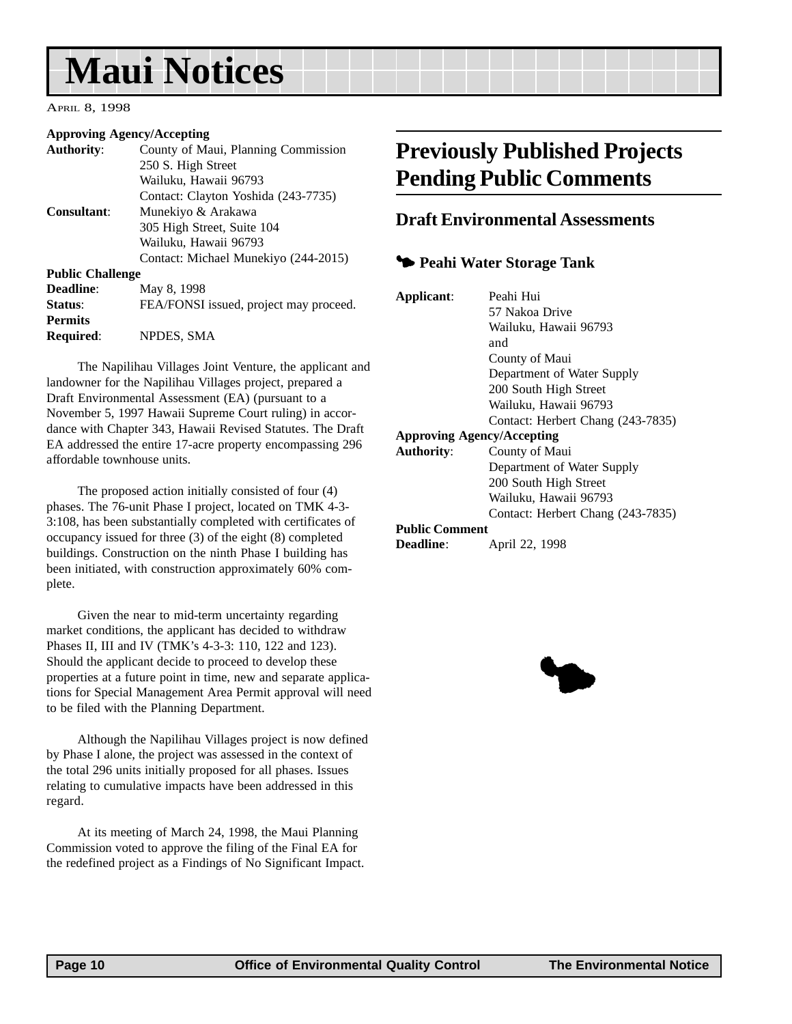## <span id="page-9-0"></span>**Maui Notices**

#### APRIL 8, 1998

#### **Approving Agency/Accepting**

| <b>Authority:</b>       | County of Maui, Planning Commission    |
|-------------------------|----------------------------------------|
|                         | 250 S. High Street                     |
|                         | Wailuku, Hawaii 96793                  |
|                         | Contact: Clayton Yoshida (243-7735)    |
| <b>Consultant:</b>      | Munekiyo & Arakawa                     |
|                         | 305 High Street, Suite 104             |
|                         | Wailuku, Hawaii 96793                  |
|                         | Contact: Michael Munekiyo (244-2015)   |
| <b>Public Challenge</b> |                                        |
| <b>Deadline:</b>        | May 8, 1998                            |
| Status:                 | FEA/FONSI issued, project may proceed. |
| <b>Permits</b>          |                                        |
| Required:               | NPDES, SMA                             |
|                         |                                        |

The Napilihau Villages Joint Venture, the applicant and landowner for the Napilihau Villages project, prepared a Draft Environmental Assessment (EA) (pursuant to a November 5, 1997 Hawaii Supreme Court ruling) in accordance with Chapter 343, Hawaii Revised Statutes. The Draft EA addressed the entire 17-acre property encompassing 296 affordable townhouse units.

The proposed action initially consisted of four (4) phases. The 76-unit Phase I project, located on TMK 4-3- 3:108, has been substantially completed with certificates of occupancy issued for three (3) of the eight (8) completed buildings. Construction on the ninth Phase I building has been initiated, with construction approximately 60% complete.

Given the near to mid-term uncertainty regarding market conditions, the applicant has decided to withdraw Phases II, III and IV (TMK's 4-3-3: 110, 122 and 123). Should the applicant decide to proceed to develop these properties at a future point in time, new and separate applications for Special Management Area Permit approval will need to be filed with the Planning Department.

Although the Napilihau Villages project is now defined by Phase I alone, the project was assessed in the context of the total 296 units initially proposed for all phases. Issues relating to cumulative impacts have been addressed in this regard.

At its meeting of March 24, 1998, the Maui Planning Commission voted to approve the filing of the Final EA for the redefined project as a Findings of No Significant Impact.

### **Previously Published Projects Pending Public Comments**

### **Draft Environmental Assessments**

### 3 **Peahi Water Storage Tank**

| Applicant:                        | Peahi Hui                         |
|-----------------------------------|-----------------------------------|
|                                   | 57 Nakoa Drive                    |
|                                   | Wailuku, Hawaii 96793             |
|                                   | and                               |
|                                   | County of Maui                    |
|                                   | Department of Water Supply        |
|                                   | 200 South High Street             |
|                                   | Wailuku, Hawaii 96793             |
|                                   | Contact: Herbert Chang (243-7835) |
| <b>Approving Agency/Accepting</b> |                                   |
| <b>Authority:</b>                 | County of Maui                    |
|                                   | Department of Water Supply        |
|                                   | 200 South High Street             |
|                                   | Wailuku, Hawaii 96793             |
|                                   | Contact: Herbert Chang (243-7835) |
| <b>Public Comment</b>             |                                   |
| <b>Deadline:</b>                  | April 22, 1998                    |
|                                   |                                   |

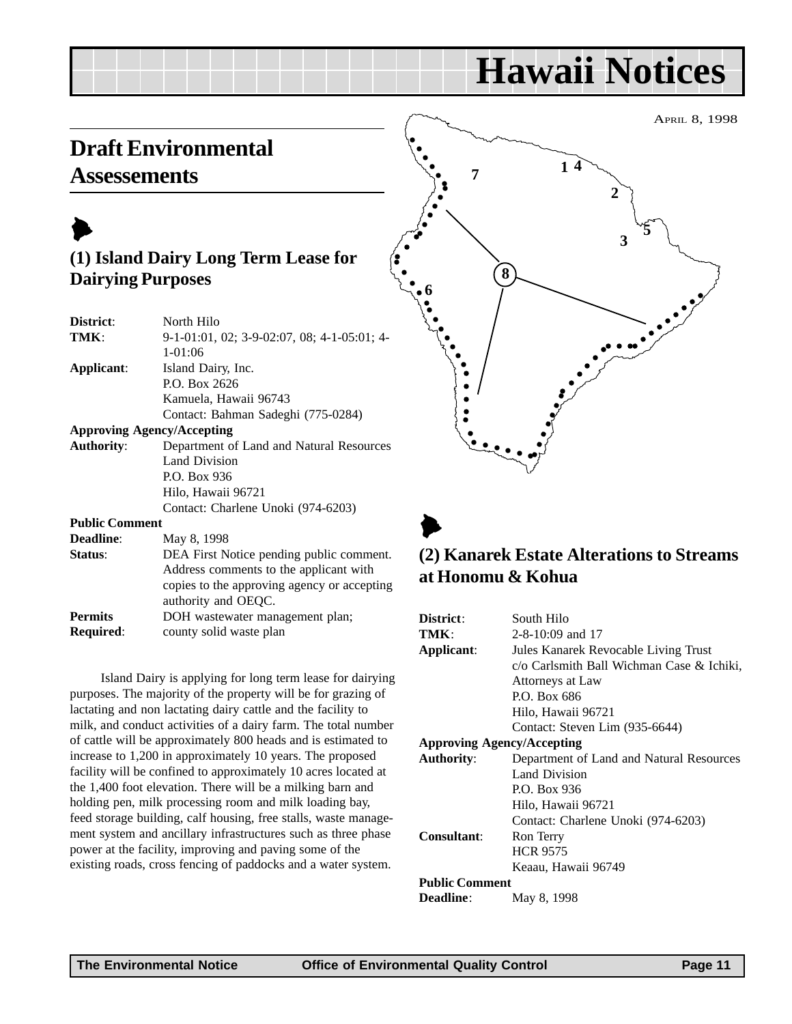### <span id="page-10-0"></span>**Draft Environmental Assessements**



### **(1) Island Dairy Long Term Lease for Dairying Purposes**

| District:             | North Hilo                                                                                                                                                                                                                                                                                                                                                                                                 |
|-----------------------|------------------------------------------------------------------------------------------------------------------------------------------------------------------------------------------------------------------------------------------------------------------------------------------------------------------------------------------------------------------------------------------------------------|
| TMK:                  | $9-1-01:01$ , 02; 3-9-02:07, 08; 4-1-05:01; 4-                                                                                                                                                                                                                                                                                                                                                             |
|                       | $1 - 01:06$                                                                                                                                                                                                                                                                                                                                                                                                |
| Applicant:            | Island Dairy, Inc.                                                                                                                                                                                                                                                                                                                                                                                         |
|                       | P.O. Box 2626                                                                                                                                                                                                                                                                                                                                                                                              |
|                       | Kamuela, Hawaii 96743                                                                                                                                                                                                                                                                                                                                                                                      |
|                       | Contact: Bahman Sadeghi (775-0284)                                                                                                                                                                                                                                                                                                                                                                         |
|                       | <b>Approving Agency/Accepting</b>                                                                                                                                                                                                                                                                                                                                                                          |
| <b>Authority:</b>     | Department of Land and Natural Resources                                                                                                                                                                                                                                                                                                                                                                   |
|                       | Land Division                                                                                                                                                                                                                                                                                                                                                                                              |
|                       | P.O. Box 936                                                                                                                                                                                                                                                                                                                                                                                               |
|                       | Hilo, Hawaii 96721                                                                                                                                                                                                                                                                                                                                                                                         |
|                       | Contact: Charlene Unoki (974-6203)                                                                                                                                                                                                                                                                                                                                                                         |
| <b>Public Comment</b> |                                                                                                                                                                                                                                                                                                                                                                                                            |
| <b>Deadline:</b>      | May 8, 1998                                                                                                                                                                                                                                                                                                                                                                                                |
| $C_{\text{total}}$    | $\overline{\text{DE}}$ $\overline{\text{E}}$ $\overline{\text{E}}$ and $\overline{\text{E}}$ and $\overline{\text{E}}$ and $\overline{\text{E}}$ and $\overline{\text{E}}$ and $\overline{\text{E}}$ and $\overline{\text{E}}$ and $\overline{\text{E}}$ and $\overline{\text{E}}$ and $\overline{\text{E}}$ and $\overline{\text{E}}$ and $\overline{\text{E}}$ and $\overline{\text{E}}$ and $\overline$ |

| DEA First Notice pending public comment.    |
|---------------------------------------------|
| Address comments to the applicant with      |
| copies to the approving agency or accepting |
|                                             |
|                                             |
|                                             |
|                                             |

Island Dairy is applying for long term lease for dairying purposes. The majority of the property will be for grazing of lactating and non lactating dairy cattle and the facility to milk, and conduct activities of a dairy farm. The total number of cattle will be approximately 800 heads and is estimated to increase to 1,200 in approximately 10 years. The proposed facility will be confined to approximately 10 acres located at the 1,400 foot elevation. There will be a milking barn and holding pen, milk processing room and milk loading bay, feed storage building, calf housing, free stalls, waste management system and ancillary infrastructures such as three phase power at the facility, improving and paving some of the existing roads, cross fencing of paddocks and a water system.



### $\blacktriangleright$ **(2) Kanarek Estate Alterations to Streams at Honomu & Kohua**

| District:                         | South Hilo                                |
|-----------------------------------|-------------------------------------------|
| TMK:                              | $2 - 8 - 10:09$ and 17                    |
| Applicant:                        | Jules Kanarek Revocable Living Trust      |
|                                   | c/o Carlsmith Ball Wichman Case & Ichiki, |
|                                   | Attorneys at Law                          |
|                                   | P.O. Box 686                              |
|                                   | Hilo, Hawaii 96721                        |
|                                   | Contact: Steven Lim (935-6644)            |
| <b>Approving Agency/Accepting</b> |                                           |
| <b>Authority:</b>                 | Department of Land and Natural Resources  |
|                                   | Land Division                             |
|                                   | P.O. Box 936                              |
|                                   | Hilo, Hawaii 96721                        |
|                                   | Contact: Charlene Unoki (974-6203)        |
| Consultant:                       | Ron Terry                                 |
|                                   | <b>HCR 9575</b>                           |
|                                   | Keaau, Hawaii 96749                       |
| <b>Public Comment</b>             |                                           |
| <b>Deadline:</b>                  | May 8, 1998                               |
|                                   |                                           |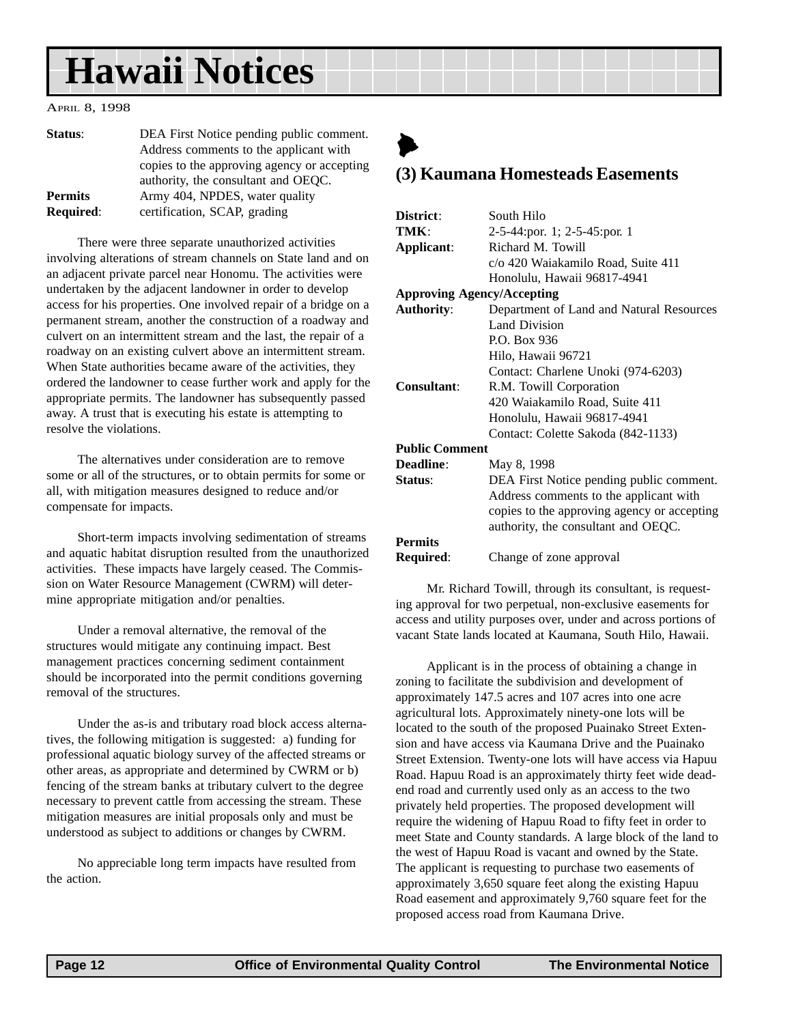#### <span id="page-11-0"></span>APRIL 8, 1998

| Status:          | DEA First Notice pending public comment.    |
|------------------|---------------------------------------------|
|                  | Address comments to the applicant with      |
|                  | copies to the approving agency or accepting |
|                  | authority, the consultant and OEQC.         |
| <b>Permits</b>   | Army 404, NPDES, water quality              |
| <b>Required:</b> | certification, SCAP, grading                |

There were three separate unauthorized activities involving alterations of stream channels on State land and on an adjacent private parcel near Honomu. The activities were undertaken by the adjacent landowner in order to develop access for his properties. One involved repair of a bridge on a permanent stream, another the construction of a roadway and culvert on an intermittent stream and the last, the repair of a roadway on an existing culvert above an intermittent stream. When State authorities became aware of the activities, they ordered the landowner to cease further work and apply for the appropriate permits. The landowner has subsequently passed away. A trust that is executing his estate is attempting to resolve the violations.

The alternatives under consideration are to remove some or all of the structures, or to obtain permits for some or all, with mitigation measures designed to reduce and/or compensate for impacts.

Short-term impacts involving sedimentation of streams and aquatic habitat disruption resulted from the unauthorized activities. These impacts have largely ceased. The Commission on Water Resource Management (CWRM) will determine appropriate mitigation and/or penalties.

Under a removal alternative, the removal of the structures would mitigate any continuing impact. Best management practices concerning sediment containment should be incorporated into the permit conditions governing removal of the structures.

Under the as-is and tributary road block access alternatives, the following mitigation is suggested: a) funding for professional aquatic biology survey of the affected streams or other areas, as appropriate and determined by CWRM or b) fencing of the stream banks at tributary culvert to the degree necessary to prevent cattle from accessing the stream. These mitigation measures are initial proposals only and must be understood as subject to additions or changes by CWRM.

No appreciable long term impacts have resulted from the action.

### $\blacktriangleright$ **(3) Kaumana Homesteads Easements**

| District:                         | South Hilo                                  |
|-----------------------------------|---------------------------------------------|
| TMK ·                             | 2-5-44:por. 1; 2-5-45:por. 1                |
| Applicant:                        | Richard M. Towill                           |
|                                   | c/o 420 Waiakamilo Road, Suite 411          |
|                                   | Honolulu, Hawaii 96817-4941                 |
| <b>Approving Agency/Accepting</b> |                                             |
| <b>Authority:</b>                 | Department of Land and Natural Resources    |
|                                   | <b>Land Division</b>                        |
|                                   | P.O. Box 936                                |
|                                   | Hilo, Hawaii 96721                          |
|                                   | Contact: Charlene Unoki (974-6203)          |
| <b>Consultant:</b>                | R.M. Towill Corporation                     |
|                                   | 420 Waiakamilo Road, Suite 411              |
|                                   | Honolulu, Hawaii 96817-4941                 |
|                                   | Contact: Colette Sakoda (842-1133)          |
| <b>Public Comment</b>             |                                             |
| Deadline:                         | May 8, 1998                                 |
| Status:                           | DEA First Notice pending public comment.    |
|                                   | Address comments to the applicant with      |
|                                   | copies to the approving agency or accepting |
|                                   | authority, the consultant and OEQC.         |
| <b>Permits</b>                    |                                             |
| Required:                         | Change of zone approval                     |
|                                   |                                             |

Mr. Richard Towill, through its consultant, is requesting approval for two perpetual, non-exclusive easements for access and utility purposes over, under and across portions of vacant State lands located at Kaumana, South Hilo, Hawaii.

Applicant is in the process of obtaining a change in zoning to facilitate the subdivision and development of approximately 147.5 acres and 107 acres into one acre agricultural lots. Approximately ninety-one lots will be located to the south of the proposed Puainako Street Extension and have access via Kaumana Drive and the Puainako Street Extension. Twenty-one lots will have access via Hapuu Road. Hapuu Road is an approximately thirty feet wide deadend road and currently used only as an access to the two privately held properties. The proposed development will require the widening of Hapuu Road to fifty feet in order to meet State and County standards. A large block of the land to the west of Hapuu Road is vacant and owned by the State. The applicant is requesting to purchase two easements of approximately 3,650 square feet along the existing Hapuu Road easement and approximately 9,760 square feet for the proposed access road from Kaumana Drive.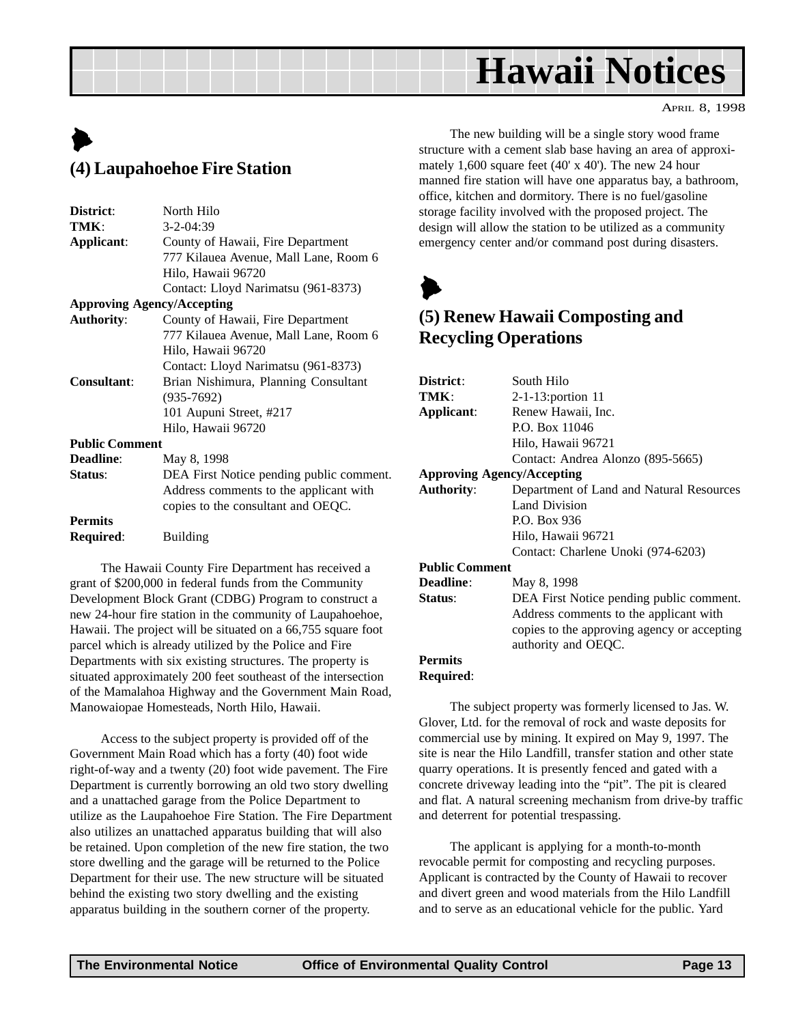APRIL 8, 1998

### <span id="page-12-0"></span> $\blacktriangleright$ **(4) Laupahoehoe Fire Station**

| District:             | North Hilo                               |
|-----------------------|------------------------------------------|
| TMK:                  | $3 - 2 - 04:39$                          |
| Applicant:            | County of Hawaii, Fire Department        |
|                       | 777 Kilauea Avenue, Mall Lane, Room 6    |
|                       | Hilo, Hawaii 96720                       |
|                       | Contact: Lloyd Narimatsu (961-8373)      |
|                       | <b>Approving Agency/Accepting</b>        |
| <b>Authority:</b>     | County of Hawaii, Fire Department        |
|                       | 777 Kilauea Avenue, Mall Lane, Room 6    |
|                       | Hilo, Hawaii 96720                       |
|                       | Contact: Lloyd Narimatsu (961-8373)      |
| <b>Consultant:</b>    | Brian Nishimura, Planning Consultant     |
|                       | $(935 - 7692)$                           |
|                       | 101 Aupuni Street, #217                  |
|                       | Hilo, Hawaii 96720                       |
| <b>Public Comment</b> |                                          |
| <b>Deadline:</b>      | May 8, 1998                              |
| Status:               | DEA First Notice pending public comment. |
|                       | Address comments to the applicant with   |
|                       | copies to the consultant and OEQC.       |
| <b>Permits</b>        |                                          |
| Required:             | Building                                 |
|                       |                                          |

The Hawaii County Fire Department has received a grant of \$200,000 in federal funds from the Community Development Block Grant (CDBG) Program to construct a new 24-hour fire station in the community of Laupahoehoe, Hawaii. The project will be situated on a 66,755 square foot parcel which is already utilized by the Police and Fire Departments with six existing structures. The property is situated approximately 200 feet southeast of the intersection of the Mamalahoa Highway and the Government Main Road, Manowaiopae Homesteads, North Hilo, Hawaii.

Access to the subject property is provided off of the Government Main Road which has a forty (40) foot wide right-of-way and a twenty (20) foot wide pavement. The Fire Department is currently borrowing an old two story dwelling and a unattached garage from the Police Department to utilize as the Laupahoehoe Fire Station. The Fire Department also utilizes an unattached apparatus building that will also be retained. Upon completion of the new fire station, the two store dwelling and the garage will be returned to the Police Department for their use. The new structure will be situated behind the existing two story dwelling and the existing apparatus building in the southern corner of the property.

The new building will be a single story wood frame structure with a cement slab base having an area of approximately 1,600 square feet (40' x 40'). The new 24 hour manned fire station will have one apparatus bay, a bathroom, office, kitchen and dormitory. There is no fuel/gasoline storage facility involved with the proposed project. The design will allow the station to be utilized as a community emergency center and/or command post during disasters.



### **(5) Renew Hawaii Composting and Recycling Operations**

| District:                         | South Hilo                                  |
|-----------------------------------|---------------------------------------------|
| TMK:                              | 2-1-13:portion 11                           |
| Applicant:                        | Renew Hawaii, Inc.                          |
|                                   | P.O. Box 11046                              |
|                                   | Hilo, Hawaii 96721                          |
|                                   | Contact: Andrea Alonzo (895-5665)           |
| <b>Approving Agency/Accepting</b> |                                             |
| <b>Authority:</b>                 | Department of Land and Natural Resources    |
|                                   | Land Division                               |
|                                   | P.O. Box 936                                |
|                                   | Hilo, Hawaii 96721                          |
|                                   | Contact: Charlene Unoki (974-6203)          |
| <b>Public Comment</b>             |                                             |
| <b>Deadline:</b>                  | May 8, 1998                                 |
| Status:                           | DEA First Notice pending public comment.    |
|                                   | Address comments to the applicant with      |
|                                   | copies to the approving agency or accepting |
|                                   | authority and OEQC.                         |
| <b>Permits</b>                    |                                             |
| <b>Required:</b>                  |                                             |

The subject property was formerly licensed to Jas. W. Glover, Ltd. for the removal of rock and waste deposits for commercial use by mining. It expired on May 9, 1997. The site is near the Hilo Landfill, transfer station and other state quarry operations. It is presently fenced and gated with a concrete driveway leading into the "pit". The pit is cleared and flat. A natural screening mechanism from drive-by traffic and deterrent for potential trespassing.

The applicant is applying for a month-to-month revocable permit for composting and recycling purposes. Applicant is contracted by the County of Hawaii to recover and divert green and wood materials from the Hilo Landfill and to serve as an educational vehicle for the public. Yard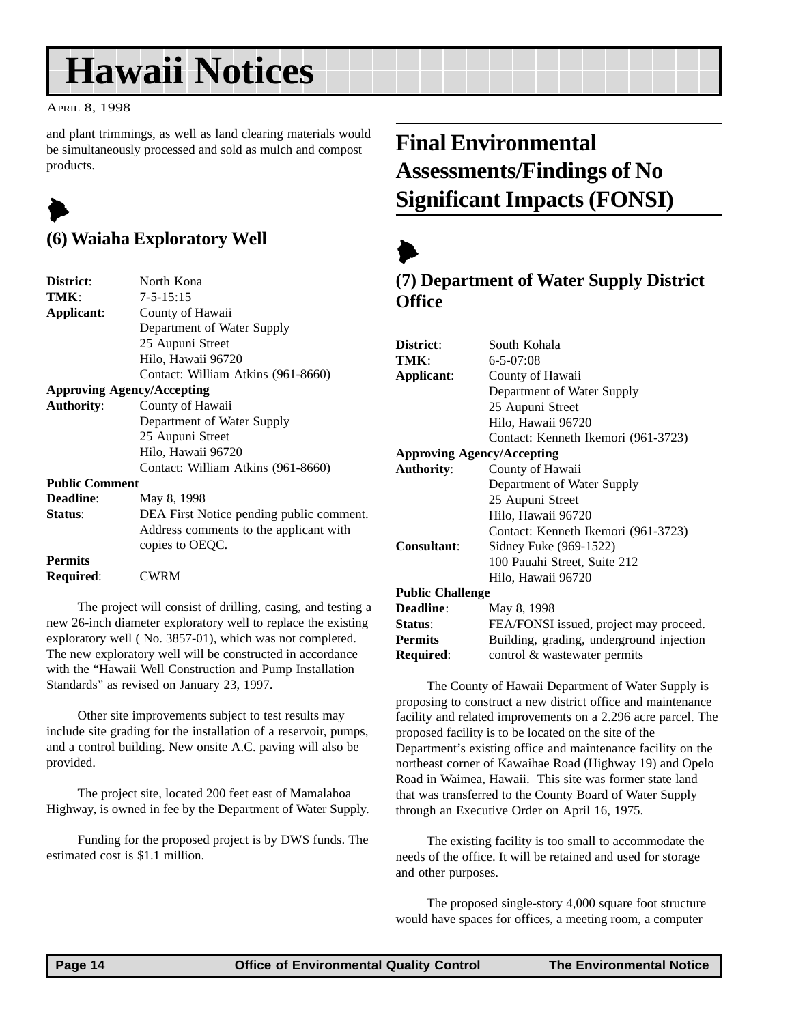#### <span id="page-13-0"></span>APRIL 8, 1998

and plant trimmings, as well as land clearing materials would be simultaneously processed and sold as mulch and compost products.

## $\blacktriangleright$

### **(6) Waiaha Exploratory Well**

| District:             | North Kona                               |
|-----------------------|------------------------------------------|
| TMK:                  | $7 - 5 - 15:15$                          |
| Applicant:            | County of Hawaii                         |
|                       | Department of Water Supply               |
|                       | 25 Aupuni Street                         |
|                       | Hilo, Hawaii 96720                       |
|                       | Contact: William Atkins (961-8660)       |
|                       | <b>Approving Agency/Accepting</b>        |
| <b>Authority:</b>     | County of Hawaii                         |
|                       | Department of Water Supply               |
|                       | 25 Aupuni Street                         |
|                       | Hilo, Hawaii 96720                       |
|                       | Contact: William Atkins (961-8660)       |
| <b>Public Comment</b> |                                          |
| <b>Deadline:</b>      | May 8, 1998                              |
| Status:               | DEA First Notice pending public comment. |
|                       | Address comments to the applicant with   |
|                       | copies to OEQC.                          |
| <b>Permits</b>        |                                          |
| Required:             | <b>CWRM</b>                              |
|                       |                                          |

The project will consist of drilling, casing, and testing a new 26-inch diameter exploratory well to replace the existing exploratory well ( No. 3857-01), which was not completed. The new exploratory well will be constructed in accordance with the "Hawaii Well Construction and Pump Installation Standards" as revised on January 23, 1997.

Other site improvements subject to test results may include site grading for the installation of a reservoir, pumps, and a control building. New onsite A.C. paving will also be provided.

The project site, located 200 feet east of Mamalahoa Highway, is owned in fee by the Department of Water Supply.

Funding for the proposed project is by DWS funds. The estimated cost is \$1.1 million.

## **Final Environmental Assessments/Findings of No Significant Impacts (FONSI)**

## $\blacktriangleright$

### **(7) Department of Water Supply District Office**

| District:                         | South Kohala                             |  |  |
|-----------------------------------|------------------------------------------|--|--|
| TMK:                              | $6 - 5 - 07:08$                          |  |  |
| Applicant:                        | County of Hawaii                         |  |  |
|                                   | Department of Water Supply               |  |  |
|                                   | 25 Aupuni Street                         |  |  |
|                                   | Hilo, Hawaii 96720                       |  |  |
|                                   | Contact: Kenneth Ikemori (961-3723)      |  |  |
| <b>Approving Agency/Accepting</b> |                                          |  |  |
| <b>Authority:</b>                 | County of Hawaii                         |  |  |
|                                   | Department of Water Supply               |  |  |
|                                   | 25 Aupuni Street                         |  |  |
|                                   | Hilo, Hawaii 96720                       |  |  |
|                                   | Contact: Kenneth Ikemori (961-3723)      |  |  |
| Consultant:                       | Sidney Fuke (969-1522)                   |  |  |
|                                   | 100 Pauahi Street, Suite 212             |  |  |
|                                   | Hilo, Hawaii 96720                       |  |  |
| <b>Public Challenge</b>           |                                          |  |  |
| Deadline:                         | May 8, 1998                              |  |  |
| Status:                           | FEA/FONSI issued, project may proceed.   |  |  |
| <b>Permits</b>                    | Building, grading, underground injection |  |  |
|                                   |                                          |  |  |

**Required:** control & wastewater permits

The County of Hawaii Department of Water Supply is proposing to construct a new district office and maintenance facility and related improvements on a 2.296 acre parcel. The proposed facility is to be located on the site of the Department's existing office and maintenance facility on the northeast corner of Kawaihae Road (Highway 19) and Opelo Road in Waimea, Hawaii. This site was former state land that was transferred to the County Board of Water Supply through an Executive Order on April 16, 1975.

The existing facility is too small to accommodate the needs of the office. It will be retained and used for storage and other purposes.

The proposed single-story 4,000 square foot structure would have spaces for offices, a meeting room, a computer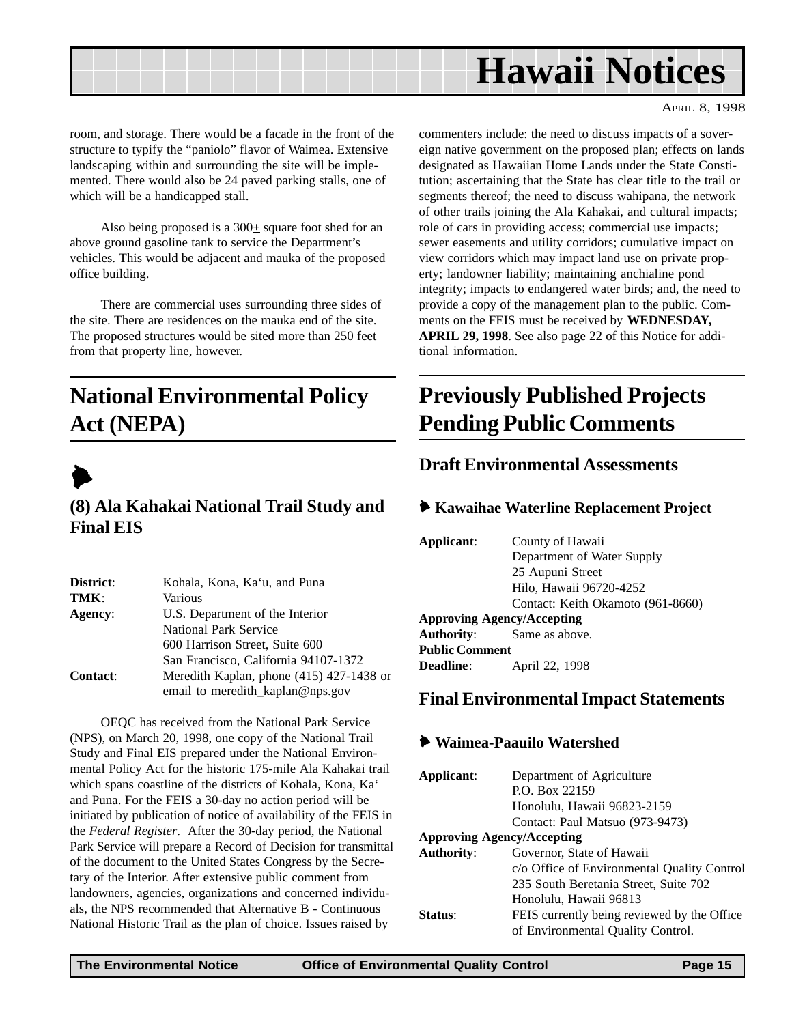<span id="page-14-0"></span>

room, and storage. There would be a facade in the front of the structure to typify the "paniolo" flavor of Waimea. Extensive landscaping within and surrounding the site will be implemented. There would also be 24 paved parking stalls, one of which will be a handicapped stall.

Also being proposed is a  $300<sub>±</sub>$  square foot shed for an above ground gasoline tank to service the Department's vehicles. This would be adjacent and mauka of the proposed office building.

There are commercial uses surrounding three sides of the site. There are residences on the mauka end of the site. The proposed structures would be sited more than 250 feet from that property line, however.

## **National Environmental Policy Act (NEPA)**



### **(8) Ala Kahakai National Trail Study and Final EIS**

| District:       | Kohala, Kona, Ka'u, and Puna             |  |  |
|-----------------|------------------------------------------|--|--|
| TMK:            | Various                                  |  |  |
| Agency:         | U.S. Department of the Interior          |  |  |
|                 | National Park Service                    |  |  |
|                 | 600 Harrison Street, Suite 600           |  |  |
|                 | San Francisco, California 94107-1372     |  |  |
| <b>Contact:</b> | Meredith Kaplan, phone (415) 427-1438 or |  |  |
|                 | email to meredith_kaplan@nps.gov         |  |  |

OEQC has received from the National Park Service (NPS), on March 20, 1998, one copy of the National Trail Study and Final EIS prepared under the National Environmental Policy Act for the historic 175-mile Ala Kahakai trail which spans coastline of the districts of Kohala, Kona, Ka' and Puna. For the FEIS a 30-day no action period will be initiated by publication of notice of availability of the FEIS in the *Federal Register*. After the 30-day period, the National Park Service will prepare a Record of Decision for transmittal of the document to the United States Congress by the Secretary of the Interior. After extensive public comment from landowners, agencies, organizations and concerned individuals, the NPS recommended that Alternative B - Continuous National Historic Trail as the plan of choice. Issues raised by

commenters include: the need to discuss impacts of a sovereign native government on the proposed plan; effects on lands designated as Hawaiian Home Lands under the State Constitution; ascertaining that the State has clear title to the trail or segments thereof; the need to discuss wahipana, the network of other trails joining the Ala Kahakai, and cultural impacts; role of cars in providing access; commercial use impacts; sewer easements and utility corridors; cumulative impact on view corridors which may impact land use on private property; landowner liability; maintaining anchialine pond integrity; impacts to endangered water birds; and, the need to provide a copy of the management plan to the public. Comments on the FEIS must be received by **WEDNESDAY, APRIL 29, 1998**. See also page 22 of this Notice for additional information.

### **Previously Published Projects Pending Public Comments**

### **Draft Environmental Assessments**

### 6 **Kawaihae Waterline Replacement Project**

| Applicant:                        | County of Hawaii                  |  |  |  |
|-----------------------------------|-----------------------------------|--|--|--|
|                                   | Department of Water Supply        |  |  |  |
|                                   | 25 Aupuni Street                  |  |  |  |
|                                   | Hilo, Hawaii 96720-4252           |  |  |  |
|                                   | Contact: Keith Okamoto (961-8660) |  |  |  |
| <b>Approving Agency/Accepting</b> |                                   |  |  |  |
| <b>Authority:</b>                 | Same as above.                    |  |  |  |
| <b>Public Comment</b>             |                                   |  |  |  |
| Deadline:                         | April 22, 1998                    |  |  |  |

### **Final Environmental Impact Statements**

### 6 **Waimea-Paauilo Watershed**

| Applicant:                        | Department of Agriculture                   |  |
|-----------------------------------|---------------------------------------------|--|
|                                   | P.O. Box 22159                              |  |
|                                   | Honolulu, Hawaii 96823-2159                 |  |
|                                   | Contact: Paul Matsuo (973-9473)             |  |
| <b>Approving Agency/Accepting</b> |                                             |  |
| <b>Authority:</b>                 | Governor, State of Hawaii                   |  |
|                                   | c/o Office of Environmental Quality Control |  |
|                                   | 235 South Beretania Street, Suite 702       |  |
|                                   | Honolulu, Hawaii 96813                      |  |
| Status:                           | FEIS currently being reviewed by the Office |  |
|                                   | of Environmental Quality Control.           |  |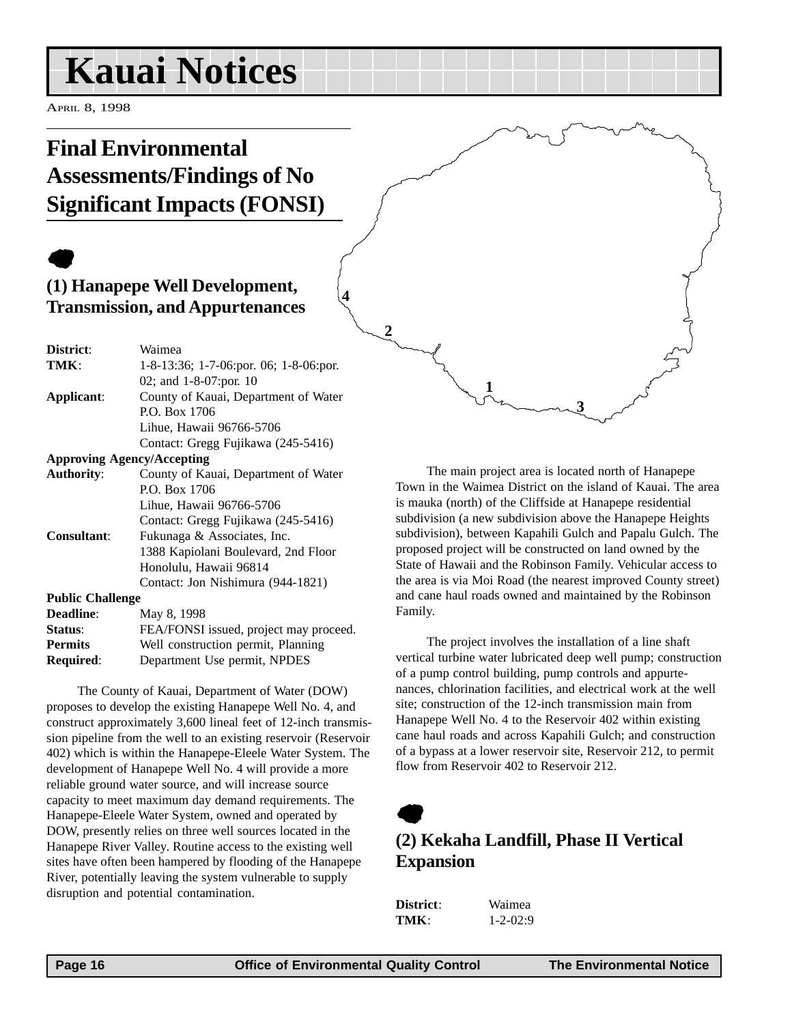## <span id="page-15-0"></span>**Kauai Notices**

APRIL 8, 1998

## **Final Environmental Assessments/Findings of No Significant Impacts (FONSI)**

## $\bullet$

### **(1) Hanapepe Well Development, Transmission, and Appurtenances**

| District:               | Waimea                                 |
|-------------------------|----------------------------------------|
| TMK:                    | 1-8-13:36; 1-7-06:por. 06; 1-8-06:por. |
|                         | 02; and $1-8-07$ : por. 10             |
| Applicant:              | County of Kauai, Department of Water   |
|                         | P.O. Box 1706                          |
|                         | Lihue, Hawaii 96766-5706               |
|                         | Contact: Gregg Fujikawa (245-5416)     |
|                         | <b>Approving Agency/Accepting</b>      |
| <b>Authority:</b>       | County of Kauai, Department of Water   |
|                         | P.O. Box 1706                          |
|                         | Lihue, Hawaii 96766-5706               |
|                         | Contact: Gregg Fujikawa (245-5416)     |
| Consultant:             | Fukunaga & Associates, Inc.            |
|                         | 1388 Kapiolani Boulevard, 2nd Floor    |
|                         | Honolulu, Hawaii 96814                 |
|                         | Contact: Jon Nishimura (944-1821)      |
| <b>Public Challenge</b> |                                        |
| <b>Deadline:</b>        | May 8, 1998                            |
| Status:                 | FEA/FONSI issued, project may proceed. |
| <b>Permits</b>          | Well construction permit, Planning     |
| Required:               | Department Use permit, NPDES           |

The County of Kauai, Department of Water (DOW) proposes to develop the existing Hanapepe Well No. 4, and construct approximately 3,600 lineal feet of 12-inch transmission pipeline from the well to an existing reservoir (Reservoir 402) which is within the Hanapepe-Eleele Water System. The development of Hanapepe Well No. 4 will provide a more reliable ground water source, and will increase source capacity to meet maximum day demand requirements. The Hanapepe-Eleele Water System, owned and operated by DOW, presently relies on three well sources located in the Hanapepe River Valley. Routine access to the existing well sites have often been hampered by flooding of the Hanapepe River, potentially leaving the system vulnerable to supply disruption and potential contamination.

The main project area is located north of Hanapepe Town in the Waimea District on the island of Kauai. The area is mauka (north) of the Cliffside at Hanapepe residential subdivision (a new subdivision above the Hanapepe Heights subdivision), between Kapahili Gulch and Papalu Gulch. The proposed project will be constructed on land owned by the State of Hawaii and the Robinson Family. Vehicular access to the area is via Moi Road (the nearest improved County street) and cane haul roads owned and maintained by the Robinson Family.

**3**

**1**

The project involves the installation of a line shaft vertical turbine water lubricated deep well pump; construction of a pump control building, pump controls and appurtenances, chlorination facilities, and electrical work at the well site; construction of the 12-inch transmission main from Hanapepe Well No. 4 to the Reservoir 402 within existing cane haul roads and across Kapahili Gulch; and construction of a bypass at a lower reservoir site, Reservoir 212, to permit flow from Reservoir 402 to Reservoir 212.

## $\bullet$

### **(2) Kekaha Landfill, Phase II Vertical Expansion**

**District**: Waimea **TMK**:  $1-2-02:9$ 

**4**

**2**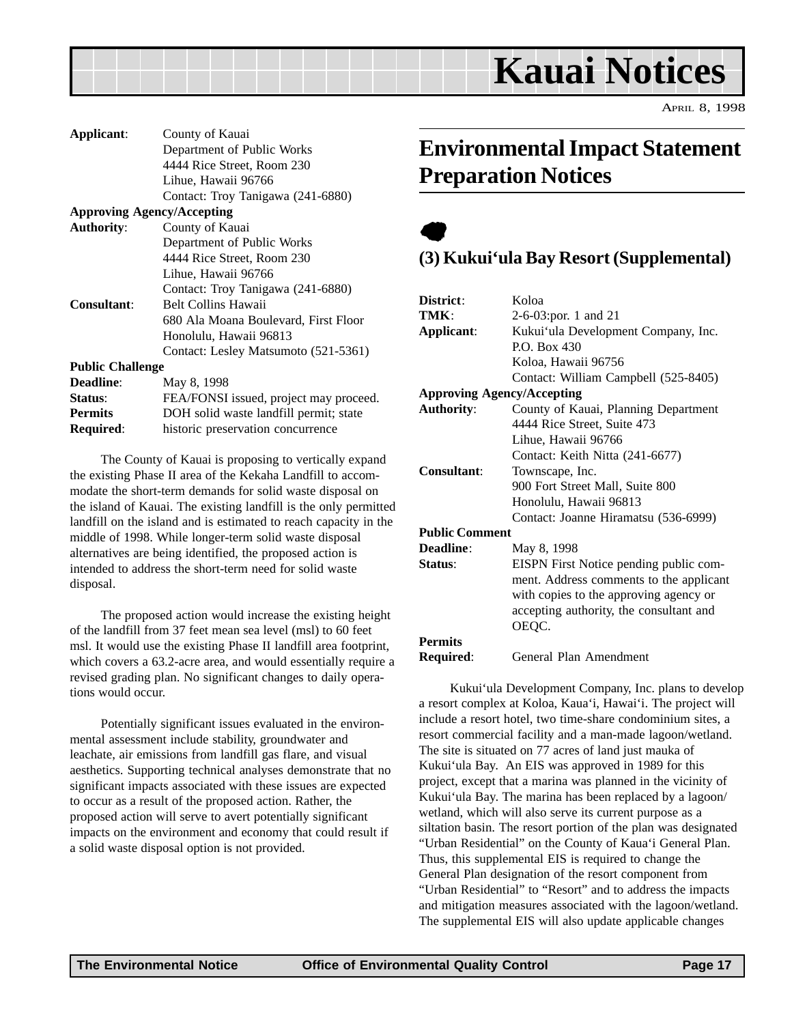<span id="page-16-0"></span>

| Applicant:              | County of Kauai                        |  |  |
|-------------------------|----------------------------------------|--|--|
|                         | Department of Public Works             |  |  |
|                         | 4444 Rice Street, Room 230             |  |  |
|                         | Lihue, Hawaii 96766                    |  |  |
|                         | Contact: Troy Tanigawa (241-6880)      |  |  |
|                         | <b>Approving Agency/Accepting</b>      |  |  |
| <b>Authority:</b>       | County of Kauai                        |  |  |
|                         | Department of Public Works             |  |  |
|                         | 4444 Rice Street, Room 230             |  |  |
|                         | Lihue, Hawaii 96766                    |  |  |
|                         | Contact: Troy Tanigawa (241-6880)      |  |  |
| <b>Consultant:</b>      | <b>Belt Collins Hawaii</b>             |  |  |
|                         | 680 Ala Moana Boulevard, First Floor   |  |  |
|                         | Honolulu, Hawaii 96813                 |  |  |
|                         | Contact: Lesley Matsumoto (521-5361)   |  |  |
| <b>Public Challenge</b> |                                        |  |  |
| Deadline:               | May 8, 1998                            |  |  |
| Status:                 | FEA/FONSI issued, project may proceed. |  |  |
| <b>Permits</b>          | DOH solid waste landfill permit; state |  |  |
| Required:               | historic preservation concurrence      |  |  |

The County of Kauai is proposing to vertically expand the existing Phase II area of the Kekaha Landfill to accommodate the short-term demands for solid waste disposal on the island of Kauai. The existing landfill is the only permitted landfill on the island and is estimated to reach capacity in the middle of 1998. While longer-term solid waste disposal alternatives are being identified, the proposed action is intended to address the short-term need for solid waste disposal.

The proposed action would increase the existing height of the landfill from 37 feet mean sea level (msl) to 60 feet msl. It would use the existing Phase II landfill area footprint, which covers a 63.2-acre area, and would essentially require a revised grading plan. No significant changes to daily operations would occur.

Potentially significant issues evaluated in the environmental assessment include stability, groundwater and leachate, air emissions from landfill gas flare, and visual aesthetics. Supporting technical analyses demonstrate that no significant impacts associated with these issues are expected to occur as a result of the proposed action. Rather, the proposed action will serve to avert potentially significant impacts on the environment and economy that could result if a solid waste disposal option is not provided.

### **Environmental Impact Statement Preparation Notices**

### $\bullet$ **(3) Kukui'ula Bay Resort (Supplemental)**

| District:             | Koloa                                   |  |  |
|-----------------------|-----------------------------------------|--|--|
| TMK:                  | $2-6-03$ ; por. 1 and 21                |  |  |
| Applicant:            | Kukui'ula Development Company, Inc.     |  |  |
|                       | $P.$ D. Box 430                         |  |  |
|                       | Koloa, Hawaii 96756                     |  |  |
|                       | Contact: William Campbell (525-8405)    |  |  |
|                       | <b>Approving Agency/Accepting</b>       |  |  |
| <b>Authority:</b>     | County of Kauai, Planning Department    |  |  |
|                       | 4444 Rice Street, Suite 473             |  |  |
|                       | Lihue, Hawaii 96766                     |  |  |
|                       | Contact: Keith Nitta (241-6677)         |  |  |
| <b>Consultant:</b>    | Townscape, Inc.                         |  |  |
|                       | 900 Fort Street Mall, Suite 800         |  |  |
|                       | Honolulu, Hawaii 96813                  |  |  |
|                       | Contact: Joanne Hiramatsu (536-6999)    |  |  |
| <b>Public Comment</b> |                                         |  |  |
| <b>Deadline:</b>      | May 8, 1998                             |  |  |
| Status:               | EISPN First Notice pending public com-  |  |  |
|                       | ment. Address comments to the applicant |  |  |
|                       | with copies to the approving agency or  |  |  |
|                       | accepting authority, the consultant and |  |  |
|                       | OEQC.                                   |  |  |
| <b>Permits</b>        |                                         |  |  |
| Required:             | General Plan Amendment                  |  |  |
|                       |                                         |  |  |

Kukui'ula Development Company, Inc. plans to develop a resort complex at Koloa, Kaua'i, Hawai'i. The project will include a resort hotel, two time-share condominium sites, a resort commercial facility and a man-made lagoon/wetland. The site is situated on 77 acres of land just mauka of Kukui'ula Bay. An EIS was approved in 1989 for this project, except that a marina was planned in the vicinity of Kukui'ula Bay. The marina has been replaced by a lagoon/ wetland, which will also serve its current purpose as a siltation basin. The resort portion of the plan was designated "Urban Residential" on the County of Kaua'i General Plan. Thus, this supplemental EIS is required to change the General Plan designation of the resort component from "Urban Residential" to "Resort" and to address the impacts and mitigation measures associated with the lagoon/wetland. The supplemental EIS will also update applicable changes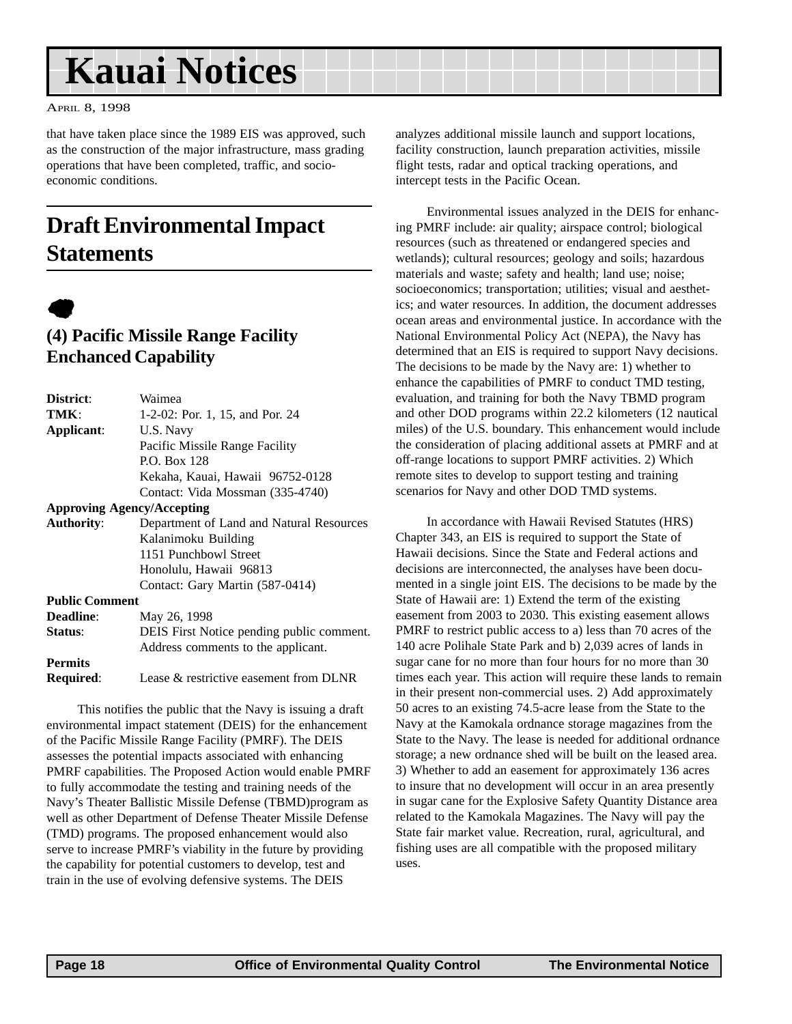## <span id="page-17-0"></span>**Kauai Notices**

APRIL 8, 1998

that have taken place since the 1989 EIS was approved, such as the construction of the major infrastructure, mass grading operations that have been completed, traffic, and socioeconomic conditions.

## **Draft Environmental Impact Statements**



### **(4) Pacific Missile Range Facility Enchanced Capability**

| District:             | Waimea                                    |  |  |
|-----------------------|-------------------------------------------|--|--|
| TMK:                  | 1-2-02: Por. 1, 15, and Por. 24           |  |  |
| Applicant:            | U.S. Navy                                 |  |  |
|                       | Pacific Missile Range Facility            |  |  |
|                       | P.O. Box 128                              |  |  |
|                       | Kekaha, Kauai, Hawaii 96752-0128          |  |  |
|                       | Contact: Vida Mossman (335-4740)          |  |  |
|                       | <b>Approving Agency/Accepting</b>         |  |  |
| <b>Authority:</b>     | Department of Land and Natural Resources  |  |  |
|                       | Kalanimoku Building                       |  |  |
|                       | 1151 Punchbowl Street                     |  |  |
|                       | Honolulu, Hawaii 96813                    |  |  |
|                       | Contact: Gary Martin (587-0414)           |  |  |
| <b>Public Comment</b> |                                           |  |  |
| <b>Deadline:</b>      | May 26, 1998                              |  |  |
| Status:               | DEIS First Notice pending public comment. |  |  |
|                       | Address comments to the applicant.        |  |  |
| <b>Permits</b>        |                                           |  |  |
| Required:             | Lease & restrictive easement from DLNR    |  |  |

This notifies the public that the Navy is issuing a draft environmental impact statement (DEIS) for the enhancement of the Pacific Missile Range Facility (PMRF). The DEIS assesses the potential impacts associated with enhancing PMRF capabilities. The Proposed Action would enable PMRF to fully accommodate the testing and training needs of the Navy's Theater Ballistic Missile Defense (TBMD)program as well as other Department of Defense Theater Missile Defense (TMD) programs. The proposed enhancement would also serve to increase PMRF's viability in the future by providing the capability for potential customers to develop, test and train in the use of evolving defensive systems. The DEIS

analyzes additional missile launch and support locations, facility construction, launch preparation activities, missile flight tests, radar and optical tracking operations, and intercept tests in the Pacific Ocean.

Environmental issues analyzed in the DEIS for enhancing PMRF include: air quality; airspace control; biological resources (such as threatened or endangered species and wetlands); cultural resources; geology and soils; hazardous materials and waste; safety and health; land use; noise; socioeconomics; transportation; utilities; visual and aesthetics; and water resources. In addition, the document addresses ocean areas and environmental justice. In accordance with the National Environmental Policy Act (NEPA), the Navy has determined that an EIS is required to support Navy decisions. The decisions to be made by the Navy are: 1) whether to enhance the capabilities of PMRF to conduct TMD testing, evaluation, and training for both the Navy TBMD program and other DOD programs within 22.2 kilometers (12 nautical miles) of the U.S. boundary. This enhancement would include the consideration of placing additional assets at PMRF and at off-range locations to support PMRF activities. 2) Which remote sites to develop to support testing and training scenarios for Navy and other DOD TMD systems.

In accordance with Hawaii Revised Statutes (HRS) Chapter 343, an EIS is required to support the State of Hawaii decisions. Since the State and Federal actions and decisions are interconnected, the analyses have been documented in a single joint EIS. The decisions to be made by the State of Hawaii are: 1) Extend the term of the existing easement from 2003 to 2030. This existing easement allows PMRF to restrict public access to a) less than 70 acres of the 140 acre Polihale State Park and b) 2,039 acres of lands in sugar cane for no more than four hours for no more than 30 times each year. This action will require these lands to remain in their present non-commercial uses. 2) Add approximately 50 acres to an existing 74.5-acre lease from the State to the Navy at the Kamokala ordnance storage magazines from the State to the Navy. The lease is needed for additional ordnance storage; a new ordnance shed will be built on the leased area. 3) Whether to add an easement for approximately 136 acres to insure that no development will occur in an area presently in sugar cane for the Explosive Safety Quantity Distance area related to the Kamokala Magazines. The Navy will pay the State fair market value. Recreation, rural, agricultural, and fishing uses are all compatible with the proposed military uses.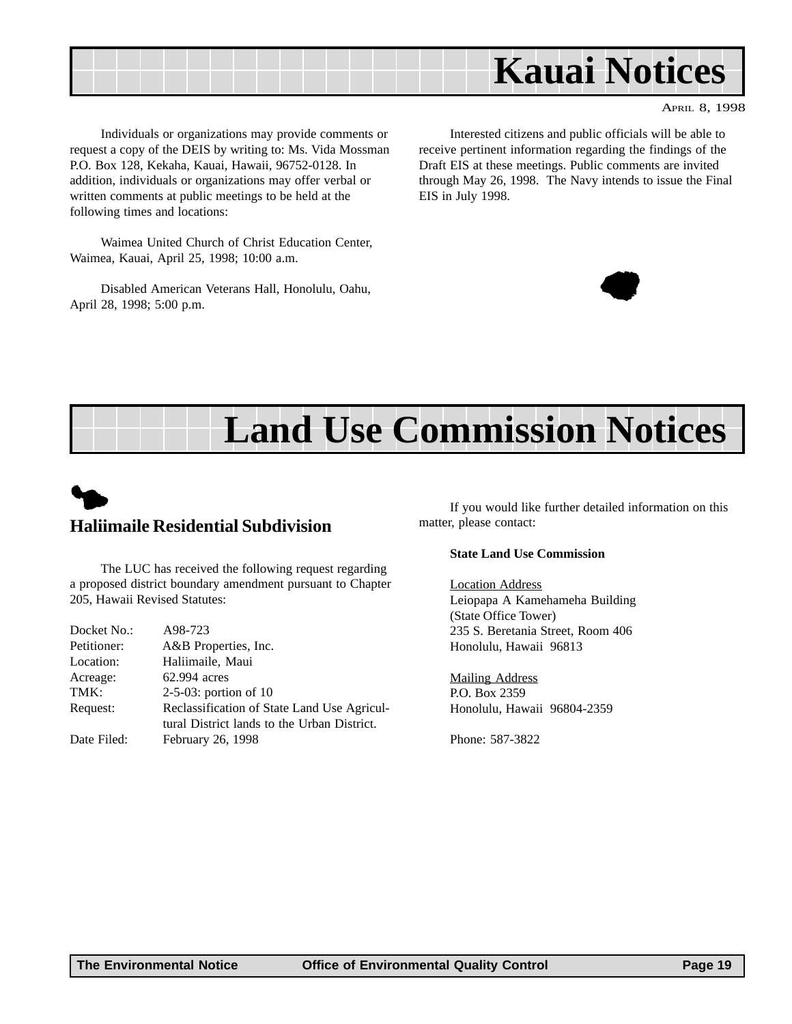

Individuals or organizations may provide comments or request a copy of the DEIS by writing to: Ms. Vida Mossman P.O. Box 128, Kekaha, Kauai, Hawaii, 96752-0128. In addition, individuals or organizations may offer verbal or written comments at public meetings to be held at the following times and locations:

Waimea United Church of Christ Education Center, Waimea, Kauai, April 25, 1998; 10:00 a.m.

Disabled American Veterans Hall, Honolulu, Oahu, April 28, 1998; 5:00 p.m.

Interested citizens and public officials will be able to receive pertinent information regarding the findings of the Draft EIS at these meetings. Public comments are invited through May 26, 1998. The Navy intends to issue the Final EIS in July 1998.



## **Land Use Commission Notices**



The LUC has received the following request regarding a proposed district boundary amendment pursuant to Chapter 205, Hawaii Revised Statutes:

| Docket No.: | A98-723                                     |
|-------------|---------------------------------------------|
| Petitioner: | A&B Properties, Inc.                        |
| Location:   | Haliimaile, Maui                            |
| Acreage:    | 62.994 acres                                |
| TMK:        | $2-5-03$ : portion of 10                    |
| Request:    | Reclassification of State Land Use Agricul- |
|             | tural District lands to the Urban District. |
| Date Filed: | February 26, 1998                           |
|             |                                             |

If you would like further detailed information on this matter, please contact:

#### **State Land Use Commission**

Location Address Leiopapa A Kamehameha Building (State Office Tower) 235 S. Beretania Street, Room 406 Honolulu, Hawaii 96813

Mailing Address P.O. Box 2359 Honolulu, Hawaii 96804-2359

Phone: 587-3822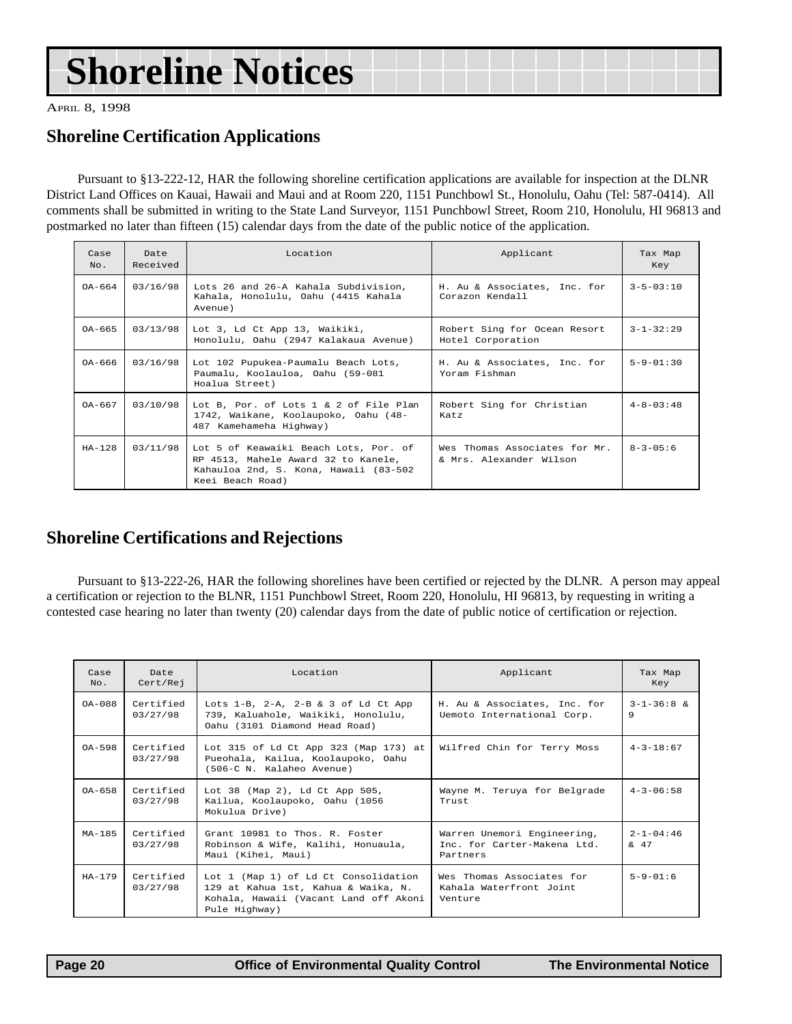## <span id="page-19-0"></span>**Shoreline Notices**

APRIL 8, 1998

### **Shoreline Certification Applications**

Pursuant to §13-222-12, HAR the following shoreline certification applications are available for inspection at the DLNR District Land Offices on Kauai, Hawaii and Maui and at Room 220, 1151 Punchbowl St., Honolulu, Oahu (Tel: 587-0414). All comments shall be submitted in writing to the State Land Surveyor, 1151 Punchbowl Street, Room 210, Honolulu, HI 96813 and postmarked no later than fifteen (15) calendar days from the date of the public notice of the application.

| Case<br>No. | Date<br>Received | Location                                                                                                                                   | Applicant                                                | Tax Map<br>Key    |
|-------------|------------------|--------------------------------------------------------------------------------------------------------------------------------------------|----------------------------------------------------------|-------------------|
| $0A-664$    | 03/16/98         | Lots 26 and 26-A Kahala Subdivision,<br>Kahala, Honolulu, Oahu (4415 Kahala<br>Avenue)                                                     | H. Au & Associates, Inc. for<br>Corazon Kendall          | $3 - 5 - 03 : 10$ |
| $0A-665$    | 03/13/98         | Lot 3, Ld Ct App 13, Waikiki,<br>Honolulu, Oahu (2947 Kalakaua Avenue)                                                                     | Robert Sing for Ocean Resort<br>Hotel Corporation        | $3 - 1 - 32:29$   |
| $0A-666$    | 03/16/98         | Lot 102 Pupukea-Paumalu Beach Lots,<br>Paumalu, Koolauloa, Oahu (59-081<br>Hoalua Street)                                                  | H. Au & Associates, Inc. for<br>Yoram Fishman            | $5 - 9 - 01 : 30$ |
| $0A-667$    | 03/10/98         | Lot B, Por. of Lots $1 \& 2$ of File Plan<br>1742, Waikane, Koolaupoko, Oahu (48-<br>487 Kamehameha Highway)                               | Robert Sing for Christian<br>Katz                        | $4 - 8 - 03 : 48$ |
| $HA-128$    | 03/11/98         | Lot 5 of Keawaiki Beach Lots, Por. of<br>RP 4513, Mahele Award 32 to Kanele,<br>Kahauloa 2nd, S. Kona, Hawaii (83-502)<br>Keei Beach Road) | Wes Thomas Associates for Mr.<br>& Mrs. Alexander Wilson | $8 - 3 - 05 : 6$  |

### **Shoreline Certifications and Rejections**

Pursuant to §13-222-26, HAR the following shorelines have been certified or rejected by the DLNR. A person may appeal a certification or rejection to the BLNR, 1151 Punchbowl Street, Room 220, Honolulu, HI 96813, by requesting in writing a contested case hearing no later than twenty (20) calendar days from the date of public notice of certification or rejection.

| Case<br>$NQ$ . | Date<br>Cert/Rej      | Location                                                                                                                              | Applicant                                                              | Tax Map<br>Key                                               |
|----------------|-----------------------|---------------------------------------------------------------------------------------------------------------------------------------|------------------------------------------------------------------------|--------------------------------------------------------------|
| $0A-088$       | Certified<br>03/27/98 | Lots $1-B$ , $2-A$ , $2-B$ & 3 of Ld Ct App<br>739, Kaluahole, Waikiki, Honolulu,<br>Oahu (3101 Diamond Head Road)                    | H. Au & Associates, Inc. for<br>Uemoto International Corp.             | $3 - 1 - 36 : 8 \&$<br>9                                     |
| $OA-598$       | Certified<br>03/27/98 | Lot 315 of Ld Ct App 323 (Map 173) at<br>Pueohala, Kailua, Koolaupoko, Oahu<br>(506-C N. Kalaheo Avenue)                              | Wilfred Chin for Terry Moss                                            | $4 - 3 - 18:67$                                              |
| $0A-658$       | Certified<br>03/27/98 | Lot 38 (Map 2), Ld Ct App 505,<br>Kailua, Koolaupoko, Oahu (1056<br>Mokulua Drive)                                                    | Wayne M. Teruya for Belgrade<br>Trust.                                 | $4 - 3 - 06:58$                                              |
| $MA-185$       | Certified<br>03/27/98 | Grant 10981 to Thos. R. Foster<br>Robinson & Wife, Kalihi, Honuaula,<br>Maui (Kihei, Maui)                                            | Warren Unemori Engineering,<br>Inc. for Carter-Makena Ltd.<br>Partners | $2 - 1 - 04:46$<br>$\begin{matrix} \delta & 47 \end{matrix}$ |
| $HA-179$       | Certified<br>03/27/98 | Lot 1 (Map 1) of Ld Ct Consolidation<br>129 at Kahua 1st, Kahua & Waika, N.<br>Kohala, Hawaii (Vacant Land off Akoni<br>Pule Highway) | Wes Thomas Associates for<br>Kahala Waterfront Joint<br>Venture        | $5 - 9 - 01 : 6$                                             |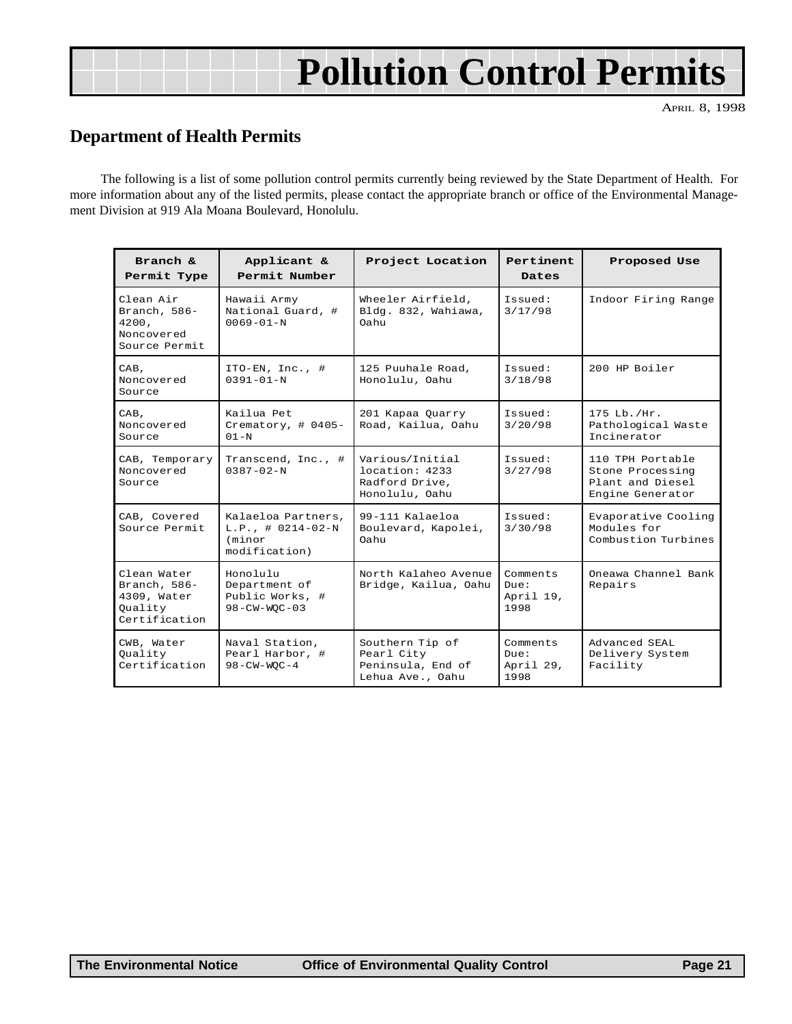## **Pollution Control Permits**

APRIL 8, 1998

### <span id="page-20-0"></span>**Department of Health Permits**

The following is a list of some pollution control permits currently being reviewed by the State Department of Health. For more information about any of the listed permits, please contact the appropriate branch or office of the Environmental Management Division at 919 Ala Moana Boulevard, Honolulu.

| Branch $\kappa$<br>Permit Type                                         | Applicant &<br>Permit Number                                          | Project Location                                                       | <b>Pertinent</b><br>Dates             | Proposed Use                                                                 |
|------------------------------------------------------------------------|-----------------------------------------------------------------------|------------------------------------------------------------------------|---------------------------------------|------------------------------------------------------------------------------|
| Clean Air<br>Branch, $586-$<br>4200,<br>Noncovered<br>Source Permit    | Hawaii Army<br>National Guard, #<br>$0069 - 01 - N$                   | Wheeler Airfield,<br>Bldg. 832, Wahiawa,<br>Oahu                       | Issued:<br>3/17/98                    | Indoor Firing Range                                                          |
| CAB,<br>Noncovered<br>Source                                           | ITO-EN, Inc., $#$<br>$0.391 - 0.1 - N$                                | 125 Puuhale Road,<br>Honolulu, Oahu                                    | Issued:<br>3/18/98                    | 200 HP Boiler                                                                |
| CAB,<br>Noncovered<br>Source                                           | Kailua Pet<br>Crematory, $\#$ 0405-<br>$01 - N$                       | 201 Kapaa Quarry<br>Road, Kailua, Oahu                                 | Issued:<br>3/20/98                    | 175 Lb./Hr.<br>Pathological Waste<br>Incinerator                             |
| CAB, Temporary<br>Noncovered<br>Source                                 | Transcend, Inc., #<br>$0.387 - 0.2 - N$                               | Various/Initial<br>location: 4233<br>Radford Drive,<br>Honolulu, Oahu  | Issued:<br>3/27/98                    | 110 TPH Portable<br>Stone Processing<br>Plant and Diesel<br>Engine Generator |
| CAB, Covered<br>Source Permit                                          | Kalaeloa Partners,<br>$L.P.$ , # 0214-02-N<br>(minor<br>modification) | 99-111 Kalaeloa<br>Boulevard, Kapolei,<br>Oahu                         | Issued:<br>3/30/98                    | Evaporative Cooling<br>Modules for<br>Combustion Turbines                    |
| Clean Water<br>Branch, 586-<br>4309, Water<br>Ouality<br>Certification | Honolulu<br>Department of<br>Public Works, #<br>$98 - CW - WOC - 03$  | North Kalaheo Avenue<br>Bridge, Kailua, Oahu                           | Comments<br>Due:<br>April 19,<br>1998 | Oneawa Channel Bank<br>Repairs                                               |
| CWB, Water<br>Quality<br>Certification                                 | Naval Station,<br>Pearl Harbor, #<br>$98 - CW - WOC - 4$              | Southern Tip of<br>Pearl City<br>Peninsula, End of<br>Lehua Ave., Oahu | Comments<br>Due:<br>April 29,<br>1998 | Advanced SEAL<br>Delivery System<br>Facility                                 |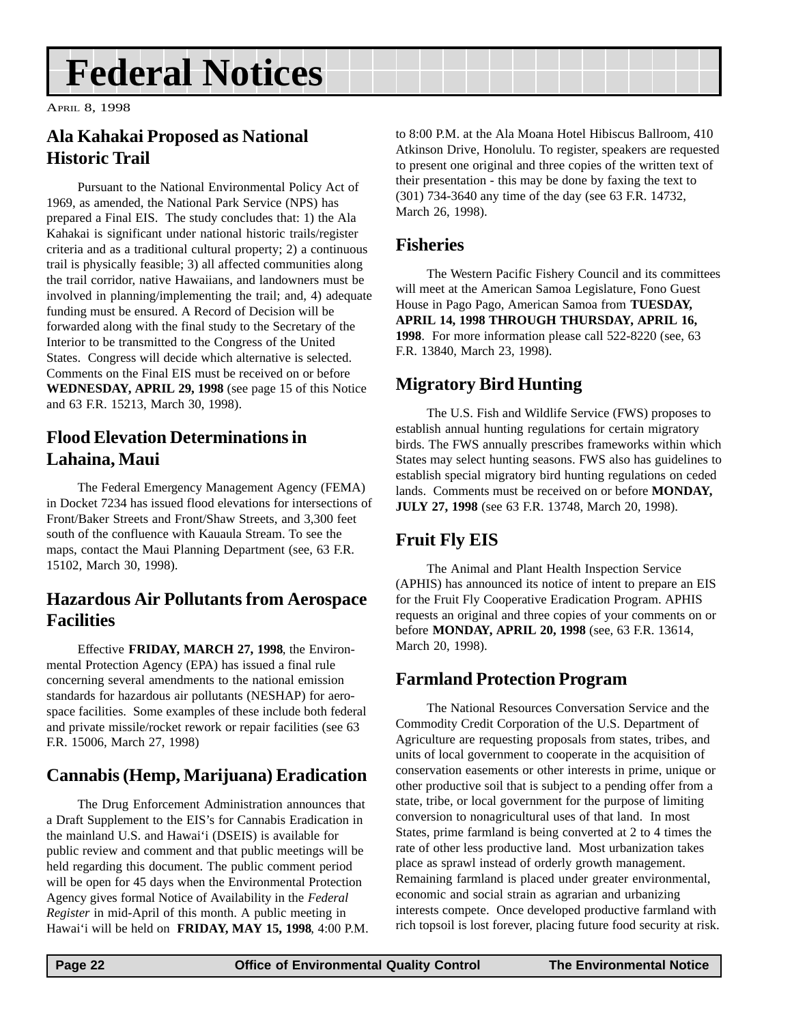## <span id="page-21-0"></span>**Federal Notices**

APRIL 8, 1998

### **Ala Kahakai Proposed as National Historic Trail**

Pursuant to the National Environmental Policy Act of 1969, as amended, the National Park Service (NPS) has prepared a Final EIS. The study concludes that: 1) the Ala Kahakai is significant under national historic trails/register criteria and as a traditional cultural property; 2) a continuous trail is physically feasible; 3) all affected communities along the trail corridor, native Hawaiians, and landowners must be involved in planning/implementing the trail; and, 4) adequate funding must be ensured. A Record of Decision will be forwarded along with the final study to the Secretary of the Interior to be transmitted to the Congress of the United States. Congress will decide which alternative is selected. Comments on the Final EIS must be received on or before **WEDNESDAY, APRIL 29, 1998** (see page 15 of this Notice and 63 F.R. 15213, March 30, 1998).

### **Flood Elevation Determinations in Lahaina, Maui**

The Federal Emergency Management Agency (FEMA) in Docket 7234 has issued flood elevations for intersections of Front/Baker Streets and Front/Shaw Streets, and 3,300 feet south of the confluence with Kauaula Stream. To see the maps, contact the Maui Planning Department (see, 63 F.R. 15102, March 30, 1998).

### **Hazardous Air Pollutants from Aerospace Facilities**

Effective **FRIDAY, MARCH 27, 1998**, the Environmental Protection Agency (EPA) has issued a final rule concerning several amendments to the national emission standards for hazardous air pollutants (NESHAP) for aerospace facilities. Some examples of these include both federal and private missile/rocket rework or repair facilities (see 63 F.R. 15006, March 27, 1998)

### **Cannabis (Hemp, Marijuana) Eradication**

The Drug Enforcement Administration announces that a Draft Supplement to the EIS's for Cannabis Eradication in the mainland U.S. and Hawai'i (DSEIS) is available for public review and comment and that public meetings will be held regarding this document. The public comment period will be open for 45 days when the Environmental Protection Agency gives formal Notice of Availability in the *Federal Register* in mid-April of this month. A public meeting in Hawai'i will be held on **FRIDAY, MAY 15, 1998**, 4:00 P.M. to 8:00 P.M. at the Ala Moana Hotel Hibiscus Ballroom, 410 Atkinson Drive, Honolulu. To register, speakers are requested to present one original and three copies of the written text of their presentation - this may be done by faxing the text to (301) 734-3640 any time of the day (see 63 F.R. 14732, March 26, 1998).

### **Fisheries**

The Western Pacific Fishery Council and its committees will meet at the American Samoa Legislature, Fono Guest House in Pago Pago, American Samoa from **TUESDAY, APRIL 14, 1998 THROUGH THURSDAY, APRIL 16, 1998**. For more information please call 522-8220 (see, 63 F.R. 13840, March 23, 1998).

### **Migratory Bird Hunting**

The U.S. Fish and Wildlife Service (FWS) proposes to establish annual hunting regulations for certain migratory birds. The FWS annually prescribes frameworks within which States may select hunting seasons. FWS also has guidelines to establish special migratory bird hunting regulations on ceded lands. Comments must be received on or before **MONDAY, JULY 27, 1998** (see 63 F.R. 13748, March 20, 1998).

### **Fruit Fly EIS**

The Animal and Plant Health Inspection Service (APHIS) has announced its notice of intent to prepare an EIS for the Fruit Fly Cooperative Eradication Program. APHIS requests an original and three copies of your comments on or before **MONDAY, APRIL 20, 1998** (see, 63 F.R. 13614, March 20, 1998).

### **Farmland Protection Program**

The National Resources Conversation Service and the Commodity Credit Corporation of the U.S. Department of Agriculture are requesting proposals from states, tribes, and units of local government to cooperate in the acquisition of conservation easements or other interests in prime, unique or other productive soil that is subject to a pending offer from a state, tribe, or local government for the purpose of limiting conversion to nonagricultural uses of that land. In most States, prime farmland is being converted at 2 to 4 times the rate of other less productive land. Most urbanization takes place as sprawl instead of orderly growth management. Remaining farmland is placed under greater environmental, economic and social strain as agrarian and urbanizing interests compete. Once developed productive farmland with rich topsoil is lost forever, placing future food security at risk.